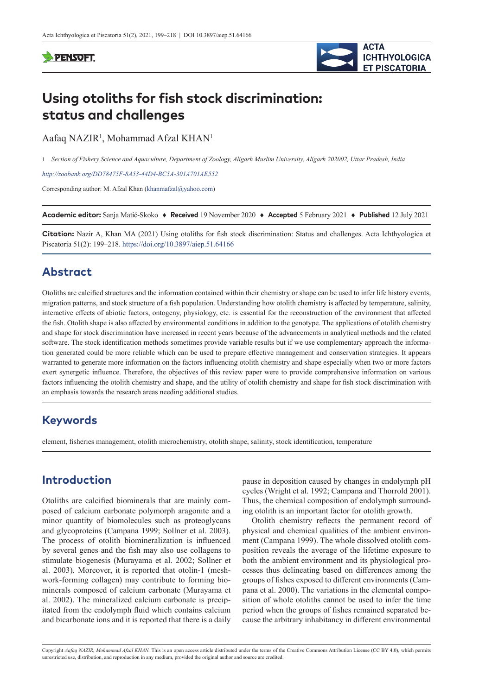

# **Using otoliths for fish stock discrimination: status and challenges**

Aafaq NAZIR<sup>1</sup>, Mohammad Afzal KHAN<sup>1</sup>

1 *Section of Fishery Science and Aquaculture, Department of Zoology, Aligarh Muslim University, Aligarh 202002, Uttar Pradesh, India*

*<http://zoobank.org/DD78475F-8A53-44D4-BC5A-301A701AE552>*

Corresponding author: M. Afzal Khan ([khanmafzal@yahoo.com\)](mailto:khanmafzal@yahoo.com)

**Academic editor:** Sanja Matić-Skoko ♦ **Received** 19 November 2020 ♦ **Accepted** 5 February 2021 ♦ **Published** 12 July 2021

**Citation:** Nazir A, Khan MA (2021) Using otoliths for fish stock discrimination: Status and challenges. Acta Ichthyologica et Piscatoria 51(2): 199–218.<https://doi.org/10.3897/aiep.51.64166>

## **Abstract**

Otoliths are calcified structures and the information contained within their chemistry or shape can be used to infer life history events, migration patterns, and stock structure of a fish population. Understanding how otolith chemistry is affected by temperature, salinity, interactive effects of abiotic factors, ontogeny, physiology, etc. is essential for the reconstruction of the environment that affected the fish. Otolith shape is also affected by environmental conditions in addition to the genotype. The applications of otolith chemistry and shape for stock discrimination have increased in recent years because of the advancements in analytical methods and the related software. The stock identification methods sometimes provide variable results but if we use complementary approach the information generated could be more reliable which can be used to prepare effective management and conservation strategies. It appears warranted to generate more information on the factors influencing otolith chemistry and shape especially when two or more factors exert synergetic influence. Therefore, the objectives of this review paper were to provide comprehensive information on various factors influencing the otolith chemistry and shape, and the utility of otolith chemistry and shape for fish stock discrimination with an emphasis towards the research areas needing additional studies.

## **Keywords**

element, fisheries management, otolith microchemistry, otolith shape, salinity, stock identification, temperature

## **Introduction**

Otoliths are calcified biominerals that are mainly composed of calcium carbonate polymorph aragonite and a minor quantity of biomolecules such as proteoglycans and glycoproteins (Campana 1999; Sollner et al. 2003). The process of otolith biomineralization is influenced by several genes and the fish may also use collagens to stimulate biogenesis (Murayama et al. 2002; Sollner et al. 2003). Moreover, it is reported that otolin-1 (meshwork-forming collagen) may contribute to forming biominerals composed of calcium carbonate (Murayama et al. 2002). The mineralized calcium carbonate is precipitated from the endolymph fluid which contains calcium and bicarbonate ions and it is reported that there is a daily pause in deposition caused by changes in endolymph pH cycles (Wright et al. 1992; Campana and Thorrold 2001). Thus, the chemical composition of endolymph surrounding otolith is an important factor for otolith growth.

Otolith chemistry reflects the permanent record of physical and chemical qualities of the ambient environment (Campana 1999). The whole dissolved otolith composition reveals the average of the lifetime exposure to both the ambient environment and its physiological processes thus delineating based on differences among the groups of fishes exposed to different environments (Campana et al. 2000). The variations in the elemental composition of whole otoliths cannot be used to infer the time period when the groups of fishes remained separated because the arbitrary inhabitancy in different environmental

Copyright *Aafaq NAZIR, Mohammad Afzal KHAN.* This is an open access article distributed under the terms of the [Creative Commons Attribution License \(CC BY 4.0\)](http://creativecommons.org/licenses/by/4.0/), which permits estricted use, distribution, and reproduction in any medium, provided the original author and source are credited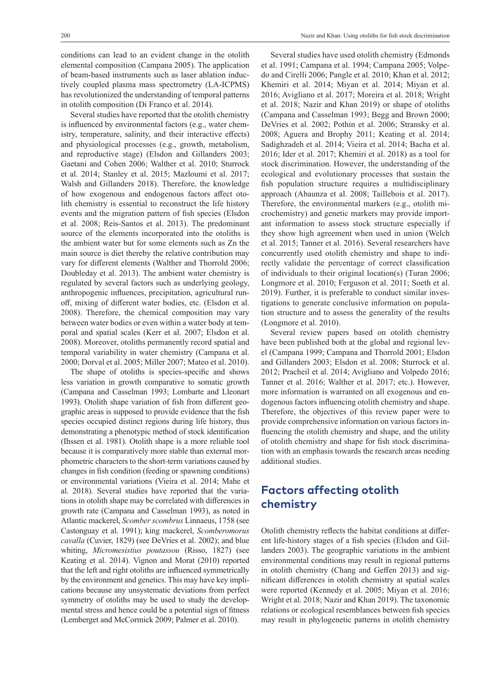conditions can lead to an evident change in the otolith elemental composition (Campana 2005). The application of beam-based instruments such as laser ablation inductively coupled plasma mass spectrometry (LA-ICPMS) has revolutionized the understanding of temporal patterns in otolith composition (Di Franco et al. 2014).

Several studies have reported that the otolith chemistry is influenced by environmental factors (e.g., water chemistry, temperature, salinity, and their interactive effects) and physiological processes (e.g., growth, metabolism, and reproductive stage) (Elsdon and Gillanders 2003; Gaetani and Cohen 2006; Walther et al. 2010; Sturrock et al. 2014; Stanley et al. 2015; Mazloumi et al. 2017; Walsh and Gillanders 2018). Therefore, the knowledge of how exogenous and endogenous factors affect otolith chemistry is essential to reconstruct the life history events and the migration pattern of fish species (Elsdon et al. 2008; Reis-Santos et al. 2013). The predominant source of the elements incorporated into the otoliths is the ambient water but for some elements such as Zn the main source is diet thereby the relative contribution may vary for different elements (Walther and Thorrold 2006; Doubleday et al. 2013). The ambient water chemistry is regulated by several factors such as underlying geology, anthropogenic influences, precipitation, agricultural runoff, mixing of different water bodies, etc. (Elsdon et al. 2008). Therefore, the chemical composition may vary between water bodies or even within a water body at temporal and spatial scales (Kerr et al. 2007; Elsdon et al. 2008). Moreover, otoliths permanently record spatial and temporal variability in water chemistry (Campana et al. 2000; Dorval et al. 2005; Miller 2007; Mateo et al. 2010).

The shape of otoliths is species-specific and shows less variation in growth comparative to somatic growth (Campana and Casselman 1993; Lombarte and Lleonart 1993). Otolith shape variation of fish from different geographic areas is supposed to provide evidence that the fish species occupied distinct regions during life history, thus demonstrating a phenotypic method of stock identification (Ihssen et al. 1981). Otolith shape is a more reliable tool because it is comparatively more stable than external morphometric characters to the short-term variations caused by changes in fish condition (feeding or spawning conditions) or environmental variations (Vieira et al. 2014; Mahe et al. 2018). Several studies have reported that the variations in otolith shape may be correlated with differences in growth rate (Campana and Casselman 1993), as noted in Atlantic mackerel, *Scomber scombrus* Linnaeus, 1758 (see Castonguay et al. 1991); king mackerel, *Scomberomorus cavalla* (Cuvier, 1829) (see DeVries et al. 2002); and blue whiting, *Micromesistius poutassou* (Risso, 1827) (see Keating et al. 2014). Vignon and Morat (2010) reported that the left and right otoliths are influenced symmetrically by the environment and genetics. This may have key implications because any unsystematic deviations from perfect symmetry of otoliths may be used to study the developmental stress and hence could be a potential sign of fitness (Lemberget and McCormick 2009; Palmer et al. 2010).

Several studies have used otolith chemistry (Edmonds et al. 1991; Campana et al. 1994; Campana 2005; Volpedo and Cirelli 2006; Pangle et al. 2010; Khan et al. 2012; Khemiri et al. 2014; Miyan et al. 2014; Miyan et al. 2016; Avigliano et al. 2017; Moreira et al. 2018; Wright et al. 2018; Nazir and Khan 2019) or shape of otoliths (Campana and Casselman 1993; Begg and Brown 2000; DeVries et al. 2002; Pothin et al. 2006; Stransky et al. 2008; Aguera and Brophy 2011; Keating et al. 2014; Sadighzadeh et al. 2014; Vieira et al. 2014; Bacha et al. 2016; Ider et al. 2017; Khemiri et al. 2018) as a tool for stock discrimination. However, the understanding of the ecological and evolutionary processes that sustain the fish population structure requires a multidisciplinary approach (Abaunza et al. 2008; Taillebois et al. 2017). Therefore, the environmental markers (e.g., otolith microchemistry) and genetic markers may provide important information to assess stock structure especially if they show high agreement when used in union (Welch et al. 2015; Tanner et al. 2016). Several researchers have concurrently used otolith chemistry and shape to indirectly validate the percentage of correct classification of individuals to their original location(s) (Turan 2006; Longmore et al. 2010; Ferguson et al. 2011; Soeth et al. 2019). Further, it is preferable to conduct similar investigations to generate conclusive information on population structure and to assess the generality of the results (Longmore et al. 2010).

Several review papers based on otolith chemistry have been published both at the global and regional level (Campana 1999; Campana and Thorrold 2001; Elsdon and Gillanders 2003; Elsdon et al. 2008; Sturrock et al. 2012; Pracheil et al. 2014; Avigliano and Volpedo 2016; Tanner et al. 2016; Walther et al. 2017; etc.). However, more information is warranted on all exogenous and endogenous factors influencing otolith chemistry and shape. Therefore, the objectives of this review paper were to provide comprehensive information on various factors influencing the otolith chemistry and shape, and the utility of otolith chemistry and shape for fish stock discrimination with an emphasis towards the research areas needing additional studies.

## **Factors affecting otolith chemistry**

Otolith chemistry reflects the habitat conditions at different life-history stages of a fish species (Elsdon and Gillanders 2003). The geographic variations in the ambient environmental conditions may result in regional patterns in otolith chemistry (Chang and Geffen 2013) and significant differences in otolith chemistry at spatial scales were reported (Kennedy et al. 2005; Miyan et al. 2016; Wright et al. 2018; Nazir and Khan 2019). The taxonomic relations or ecological resemblances between fish species may result in phylogenetic patterns in otolith chemistry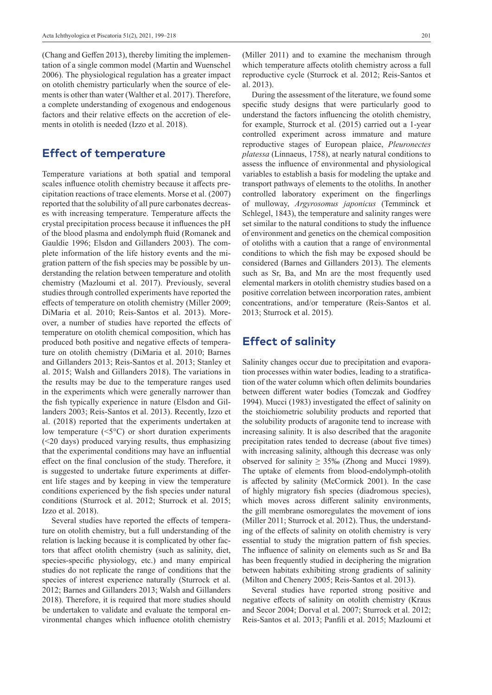(Chang and Geffen 2013), thereby limiting the implementation of a single common model (Martin and Wuenschel 2006). The physiological regulation has a greater impact on otolith chemistry particularly when the source of elements is other than water (Walther et al. 2017). Therefore, a complete understanding of exogenous and endogenous factors and their relative effects on the accretion of elements in otolith is needed (Izzo et al. 2018).

### **Effect of temperature**

Temperature variations at both spatial and temporal scales influence otolith chemistry because it affects precipitation reactions of trace elements. Morse et al. (2007) reported that the solubility of all pure carbonates decreases with increasing temperature. Temperature affects the crystal precipitation process because it influences the pH of the blood plasma and endolymph fluid (Romanek and Gauldie 1996; Elsdon and Gillanders 2003). The complete information of the life history events and the migration pattern of the fish species may be possible by understanding the relation between temperature and otolith chemistry (Mazloumi et al. 2017). Previously, several studies through controlled experiments have reported the effects of temperature on otolith chemistry (Miller 2009; DiMaria et al. 2010; Reis-Santos et al. 2013). Moreover, a number of studies have reported the effects of temperature on otolith chemical composition, which has produced both positive and negative effects of temperature on otolith chemistry (DiMaria et al. 2010; Barnes and Gillanders 2013; Reis-Santos et al. 2013; Stanley et al. 2015; Walsh and Gillanders 2018). The variations in the results may be due to the temperature ranges used in the experiments which were generally narrower than the fish typically experience in nature (Elsdon and Gillanders 2003; Reis-Santos et al. 2013). Recently, Izzo et al. (2018) reported that the experiments undertaken at low temperature  $(\leq 5^{\circ}C)$  or short duration experiments (<20 days) produced varying results, thus emphasizing that the experimental conditions may have an influential effect on the final conclusion of the study. Therefore, it is suggested to undertake future experiments at different life stages and by keeping in view the temperature conditions experienced by the fish species under natural conditions (Sturrock et al. 2012; Sturrock et al. 2015; Izzo et al. 2018).

Several studies have reported the effects of temperature on otolith chemistry, but a full understanding of the relation is lacking because it is complicated by other factors that affect otolith chemistry (such as salinity, diet, species-specific physiology, etc.) and many empirical studies do not replicate the range of conditions that the species of interest experience naturally (Sturrock et al. 2012; Barnes and Gillanders 2013; Walsh and Gillanders 2018). Therefore, it is required that more studies should be undertaken to validate and evaluate the temporal environmental changes which influence otolith chemistry

(Miller 2011) and to examine the mechanism through which temperature affects otolith chemistry across a full reproductive cycle (Sturrock et al. 2012; Reis-Santos et al. 2013).

During the assessment of the literature, we found some specific study designs that were particularly good to understand the factors influencing the otolith chemistry, for example, Sturrock et al. (2015) carried out a 1-year controlled experiment across immature and mature reproductive stages of European plaice, *Pleuronectes platessa* (Linnaeus, 1758), at nearly natural conditions to assess the influence of environmental and physiological variables to establish a basis for modeling the uptake and transport pathways of elements to the otoliths. In another controlled laboratory experiment on the fingerlings of mulloway, *Argyrosomus japonicus* (Temminck et Schlegel, 1843), the temperature and salinity ranges were set similar to the natural conditions to study the influence of environment and genetics on the chemical composition of otoliths with a caution that a range of environmental conditions to which the fish may be exposed should be considered (Barnes and Gillanders 2013). The elements such as Sr, Ba, and Mn are the most frequently used elemental markers in otolith chemistry studies based on a positive correlation between incorporation rates, ambient concentrations, and/or temperature (Reis-Santos et al. 2013; Sturrock et al. 2015).

## **Effect of salinity**

Salinity changes occur due to precipitation and evaporation processes within water bodies, leading to a stratification of the water column which often delimits boundaries between different water bodies (Tomczak and Godfrey 1994). Mucci (1983) investigated the effect of salinity on the stoichiometric solubility products and reported that the solubility products of aragonite tend to increase with increasing salinity. It is also described that the aragonite precipitation rates tended to decrease (about five times) with increasing salinity, although this decrease was only observed for salinity  $\geq$  35‰ (Zhong and Mucci 1989). The uptake of elements from blood-endolymph-otolith is affected by salinity (McCormick 2001). In the case of highly migratory fish species (diadromous species), which moves across different salinity environments, the gill membrane osmoregulates the movement of ions (Miller 2011; Sturrock et al. 2012). Thus, the understanding of the effects of salinity on otolith chemistry is very essential to study the migration pattern of fish species. The influence of salinity on elements such as Sr and Ba has been frequently studied in deciphering the migration between habitats exhibiting strong gradients of salinity (Milton and Chenery 2005; Reis-Santos et al. 2013).

Several studies have reported strong positive and negative effects of salinity on otolith chemistry (Kraus and Secor 2004; Dorval et al. 2007; Sturrock et al. 2012; Reis-Santos et al. 2013; Panfili et al. 2015; Mazloumi et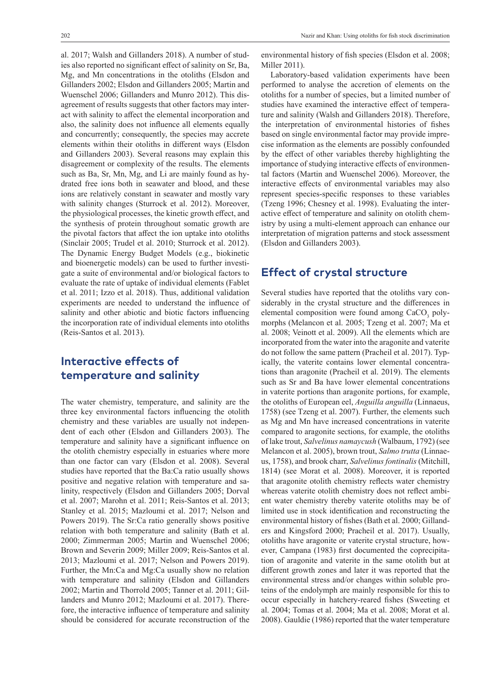al. 2017; Walsh and Gillanders 2018). A number of studies also reported no significant effect of salinity on Sr, Ba, Mg, and Mn concentrations in the otoliths (Elsdon and Gillanders 2002; Elsdon and Gillanders 2005; Martin and Wuenschel 2006; Gillanders and Munro 2012). This disagreement of results suggests that other factors may interact with salinity to affect the elemental incorporation and also, the salinity does not influence all elements equally and concurrently; consequently, the species may accrete elements within their otoliths in different ways (Elsdon and Gillanders 2003). Several reasons may explain this disagreement or complexity of the results. The elements such as Ba, Sr, Mn, Mg, and Li are mainly found as hydrated free ions both in seawater and blood, and these ions are relatively constant in seawater and mostly vary with salinity changes (Sturrock et al. 2012). Moreover, the physiological processes, the kinetic growth effect, and the synthesis of protein throughout somatic growth are the pivotal factors that affect the ion uptake into otoliths (Sinclair 2005; Trudel et al. 2010; Sturrock et al. 2012). The Dynamic Energy Budget Models (e.g., biokinetic and bioenergetic models) can be used to further investigate a suite of environmental and/or biological factors to evaluate the rate of uptake of individual elements (Fablet et al. 2011; Izzo et al. 2018). Thus, additional validation experiments are needed to understand the influence of salinity and other abiotic and biotic factors influencing the incorporation rate of individual elements into otoliths (Reis-Santos et al. 2013).

## **Interactive effects of temperature and salinity**

The water chemistry, temperature, and salinity are the three key environmental factors influencing the otolith chemistry and these variables are usually not independent of each other (Elsdon and Gillanders 2003). The temperature and salinity have a significant influence on the otolith chemistry especially in estuaries where more than one factor can vary (Elsdon et al. 2008). Several studies have reported that the Ba:Ca ratio usually shows positive and negative relation with temperature and salinity, respectively (Elsdon and Gillanders 2005; Dorval et al. 2007; Marohn et al. 2011; Reis-Santos et al. 2013; Stanley et al. 2015; Mazloumi et al. 2017; Nelson and Powers 2019). The Sr:Ca ratio generally shows positive relation with both temperature and salinity (Bath et al. 2000; Zimmerman 2005; Martin and Wuenschel 2006; Brown and Severin 2009; Miller 2009; Reis-Santos et al. 2013; Mazloumi et al. 2017; Nelson and Powers 2019). Further, the Mn:Ca and Mg:Ca usually show no relation with temperature and salinity (Elsdon and Gillanders 2002; Martin and Thorrold 2005; Tanner et al. 2011; Gillanders and Munro 2012; Mazloumi et al. 2017). Therefore, the interactive influence of temperature and salinity should be considered for accurate reconstruction of the environmental history of fish species (Elsdon et al. 2008; Miller 2011).

Laboratory-based validation experiments have been performed to analyse the accretion of elements on the otoliths for a number of species, but a limited number of studies have examined the interactive effect of temperature and salinity (Walsh and Gillanders 2018). Therefore, the interpretation of environmental histories of fishes based on single environmental factor may provide imprecise information as the elements are possibly confounded by the effect of other variables thereby highlighting the importance of studying interactive effects of environmental factors (Martin and Wuenschel 2006). Moreover, the interactive effects of environmental variables may also represent species-specific responses to these variables (Tzeng 1996; Chesney et al. 1998). Evaluating the interactive effect of temperature and salinity on otolith chemistry by using a multi-element approach can enhance our interpretation of migration patterns and stock assessment (Elsdon and Gillanders 2003).

#### **Effect of crystal structure**

Several studies have reported that the otoliths vary considerably in the crystal structure and the differences in elemental composition were found among CaCO<sub>3</sub> polymorphs (Melancon et al. 2005; Tzeng et al. 2007; Ma et al. 2008; Veinott et al. 2009). All the elements which are incorporated from the water into the aragonite and vaterite do not follow the same pattern (Pracheil et al. 2017). Typically, the vaterite contains lower elemental concentrations than aragonite (Pracheil et al. 2019). The elements such as Sr and Ba have lower elemental concentrations in vaterite portions than aragonite portions, for example, the otoliths of European eel, *Anguilla anguilla* (Linnaeus, 1758) (see Tzeng et al. 2007). Further, the elements such as Mg and Mn have increased concentrations in vaterite compared to aragonite sections, for example, the otoliths of lake trout, *Salvelinus namaycush* (Walbaum, 1792) (see Melancon et al. 2005), brown trout, *Salmo trutta* (Linnaeus, 1758), and brook charr, *Salvelinus fontinalis* (Mitchill, 1814) (see Morat et al. 2008). Moreover, it is reported that aragonite otolith chemistry reflects water chemistry whereas vaterite otolith chemistry does not reflect ambient water chemistry thereby vaterite otoliths may be of limited use in stock identification and reconstructing the environmental history of fishes (Bath et al. 2000; Gillanders and Kingsford 2000; Pracheil et al. 2017). Usually, otoliths have aragonite or vaterite crystal structure, however, Campana (1983) first documented the coprecipitation of aragonite and vaterite in the same otolith but at different growth zones and later it was reported that the environmental stress and/or changes within soluble proteins of the endolymph are mainly responsible for this to occur especially in hatchery-reared fishes (Sweeting et al. 2004; Tomas et al. 2004; Ma et al. 2008; Morat et al. 2008). Gauldie (1986) reported that the water temperature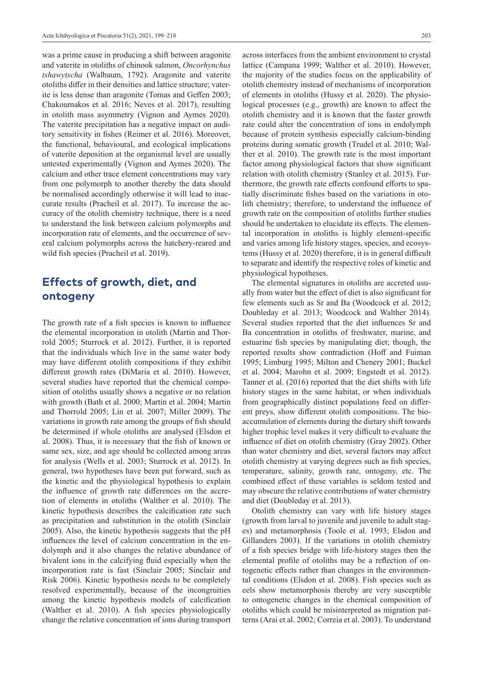was a prime cause in producing a shift between aragonite and vaterite in otoliths of chinook salmon, *Oncorhynchus tshawytscha* (Walbaum, 1792). Aragonite and vaterite otoliths differ in their densities and lattice structure; vaterite is less dense than aragonite (Tomas and Geffen 2003; Chakoumakos et al. 2016; Neves et al. 2017), resulting in otolith mass asymmetry (Vignon and Aymes 2020). The vaterite precipitation has a negative impact on auditory sensitivity in fishes (Reimer et al. 2016). Moreover, the functional, behavioural, and ecological implications of vaterite deposition at the organismal level are usually untested experimentally (Vignon and Aymes 2020). The calcium and other trace element concentrations may vary from one polymorph to another thereby the data should be normalised accordingly otherwise it will lead to inaccurate results (Pracheil et al. 2017). To increase the accuracy of the otolith chemistry technique, there is a need to understand the link between calcium polymorphs and incorporation rate of elements, and the occurrence of several calcium polymorphs across the hatchery-reared and wild fish species (Pracheil et al. 2019).

## **Effects of growth, diet, and ontogeny**

The growth rate of a fish species is known to influence the elemental incorporation in otolith (Martin and Thorrold 2005; Sturrock et al. 2012). Further, it is reported that the individuals which live in the same water body may have different otolith compositions if they exhibit different growth rates (DiMaria et al. 2010). However, several studies have reported that the chemical composition of otoliths usually shows a negative or no relation with growth (Bath et al. 2000; Martin et al. 2004; Martin and Thorrold 2005; Lin et al. 2007; Miller 2009). The variations in growth rate among the groups of fish should be determined if whole otoliths are analysed (Elsdon et al. 2008). Thus, it is necessary that the fish of known or same sex, size, and age should be collected among areas for analysis (Wells et al. 2003; Sturrock et al. 2012). In general, two hypotheses have been put forward, such as the kinetic and the physiological hypothesis to explain the influence of growth rate differences on the accretion of elements in otoliths (Walther et al. 2010). The kinetic hypothesis describes the calcification rate such as precipitation and substitution in the otolith (Sinclair 2005). Also, the kinetic hypothesis suggests that the pH influences the level of calcium concentration in the endolymph and it also changes the relative abundance of bivalent ions in the calcifying fluid especially when the incorporation rate is fast (Sinclair 2005; Sinclair and Risk 2006). Kinetic hypothesis needs to be completely resolved experimentally, because of the incongruities among the kinetic hypothesis models of calcification (Walther et al. 2010). A fish species physiologically change the relative concentration of ions during transport

across interfaces from the ambient environment to crystal lattice (Campana 1999; Walther et al. 2010). However, the majority of the studies focus on the applicability of otolith chemistry instead of mechanisms of incorporation of elements in otoliths (Hussy et al. 2020). The physiological processes (e.g., growth) are known to affect the otolith chemistry and it is known that the faster growth rate could alter the concentration of ions in endolymph because of protein synthesis especially calcium-binding proteins during somatic growth (Trudel et al. 2010; Walther et al. 2010). The growth rate is the most important factor among physiological factors that show significant relation with otolith chemistry (Stanley et al. 2015). Furthermore, the growth rate effects confound efforts to spatially discriminate fishes based on the variations in otolith chemistry; therefore, to understand the influence of growth rate on the composition of otoliths further studies should be undertaken to elucidate its effects. The elemental incorporation in otoliths is highly element-specific and varies among life history stages, species, and ecosystems (Hussy et al. 2020) therefore, it is in general difficult to separate and identify the respective roles of kinetic and physiological hypotheses.

The elemental signatures in otoliths are accreted usually from water but the effect of diet is also significant for few elements such as Sr and Ba (Woodcock et al. 2012; Doubleday et al. 2013; Woodcock and Walther 2014). Several studies reported that the diet influences Sr and Ba concentration in otoliths of freshwater, marine, and estuarine fish species by manipulating diet; though, the reported results show contradiction (Hoff and Fuiman 1995; Limburg 1995; Milton and Chenery 2001; Buckel et al. 2004; Marohn et al. 2009; Engstedt et al. 2012). Tanner et al. (2016) reported that the diet shifts with life history stages in the same habitat, or when individuals from geographically distinct populations feed on different preys, show different otolith compositions. The bioaccumulation of elements during the dietary shift towards higher trophic level makes it very difficult to evaluate the influence of diet on otolith chemistry (Gray 2002). Other than water chemistry and diet, several factors may affect otolith chemistry at varying degrees such as fish species, temperature, salinity, growth rate, ontogeny, etc. The combined effect of these variables is seldom tested and may obscure the relative contributions of water chemistry and diet (Doubleday et al. 2013).

Otolith chemistry can vary with life history stages (growth from larval to juvenile and juvenile to adult stages) and metamorphosis (Toole et al. 1993; Elsdon and Gillanders 2003). If the variations in otolith chemistry of a fish species bridge with life-history stages then the elemental profile of otoliths may be a reflection of ontogenetic effects rather than changes in the environmental conditions (Elsdon et al. 2008). Fish species such as eels show metamorphosis thereby are very susceptible to ontogenetic changes in the chemical composition of otoliths which could be misinterpreted as migration patterns (Arai et al. 2002; Correia et al. 2003). To understand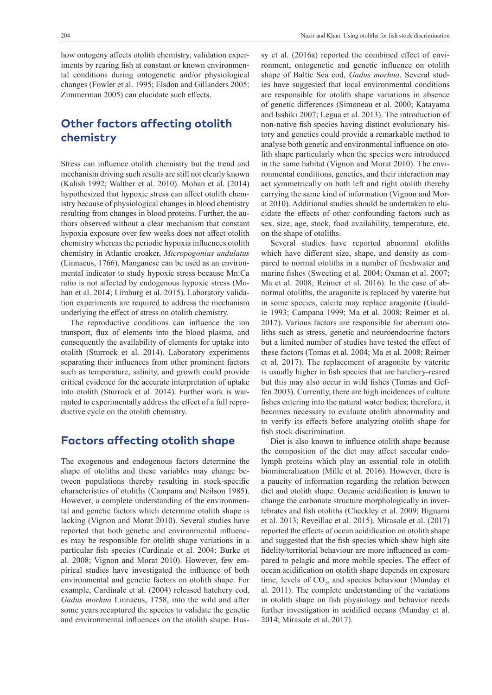how ontogeny affects otolith chemistry, validation experiments by rearing fish at constant or known environmental conditions during ontogenetic and/or physiological changes (Fowler et al. 1995; Elsdon and Gillanders 2005; Zimmerman 2005) can elucidate such effects.

## **Other factors affecting otolith chemistry**

Stress can influence otolith chemistry but the trend and mechanism driving such results are still not clearly known (Kalish 1992; Walther et al. 2010). Mohan et al. (2014) hypothesized that hypoxic stress can affect otolith chemistry because of physiological changes in blood chemistry resulting from changes in blood proteins. Further, the authors observed without a clear mechanism that constant hypoxia exposure over few weeks does not affect otolith chemistry whereas the periodic hypoxia influences otolith chemistry in Atlantic croaker, *Micropogonias undulatus* (Linnaeus, 1766). Manganese can be used as an environmental indicator to study hypoxic stress because Mn:Ca ratio is not affected by endogenous hypoxic stress (Mohan et al. 2014; Limburg et al. 2015). Laboratory validation experiments are required to address the mechanism underlying the effect of stress on otolith chemistry.

The reproductive conditions can influence the ion transport, flux of elements into the blood plasma, and consequently the availability of elements for uptake into otolith (Sturrock et al. 2014). Laboratory experiments separating their influences from other prominent factors such as temperature, salinity, and growth could provide critical evidence for the accurate interpretation of uptake into otolith (Sturrock et al. 2014). Further work is warranted to experimentally address the effect of a full reproductive cycle on the otolith chemistry.

## **Factors affecting otolith shape**

The exogenous and endogenous factors determine the shape of otoliths and these variables may change between populations thereby resulting in stock-specific characteristics of otoliths (Campana and Neilson 1985). However, a complete understanding of the environmental and genetic factors which determine otolith shape is lacking (Vignon and Morat 2010). Several studies have reported that both genetic and environmental influences may be responsible for otolith shape variations in a particular fish species (Cardinale et al. 2004; Burke et al. 2008; Vignon and Morat 2010). However, few empirical studies have investigated the influence of both environmental and genetic factors on otolith shape. For example, Cardinale et al. (2004) released hatchery cod, *Gadus morhua* Linnaeus, 1758, into the wild and after some years recaptured the species to validate the genetic and environmental influences on the otolith shape. Hussy et al. (2016a) reported the combined effect of environment, ontogenetic and genetic influence on otolith shape of Baltic Sea cod, *Gadus morhua*. Several studies have suggested that local environmental conditions are responsible for otolith shape variations in absence of genetic differences (Simoneau et al. 2000; Katayama and Isshiki 2007; Legua et al. 2013). The introduction of non-native fish species having distinct evolutionary history and genetics could provide a remarkable method to analyse both genetic and environmental influence on otolith shape particularly when the species were introduced in the same habitat (Vignon and Morat 2010). The environmental conditions, genetics, and their interaction may act symmetrically on both left and right otolith thereby carrying the same kind of information (Vignon and Morat 2010). Additional studies should be undertaken to elucidate the effects of other confounding factors such as sex, size, age, stock, food availability, temperature, etc. on the shape of otoliths.

Several studies have reported abnormal otoliths which have different size, shape, and density as compared to normal otoliths in a number of freshwater and marine fishes (Sweeting et al. 2004; Oxman et al. 2007; Ma et al. 2008; Reimer et al. 2016). In the case of abnormal otoliths, the aragonite is replaced by vaterite but in some species, calcite may replace aragonite (Gauldie 1993; Campana 1999; Ma et al. 2008; Reimer et al. 2017). Various factors are responsible for aberrant otoliths such as stress, genetic and neuroendocrine factors but a limited number of studies have tested the effect of these factors (Tomas et al. 2004; Ma et al. 2008; Reimer et al. 2017). The replacement of aragonite by vaterite is usually higher in fish species that are hatchery-reared but this may also occur in wild fishes (Tomas and Geffen 2003). Currently, there are high incidences of culture fishes entering into the natural water bodies; therefore, it becomes necessary to evaluate otolith abnormality and to verify its effects before analyzing otolith shape for fish stock discrimination.

Diet is also known to influence otolith shape because the composition of the diet may affect saccular endolymph proteins which play an essential role in otolith biomineralization (Mille et al. 2016). However, there is a paucity of information regarding the relation between diet and otolith shape. Oceanic acidification is known to change the carbonate structure morphologically in invertebrates and fish otoliths (Checkley et al. 2009; Bignami et al. 2013; Reveillac et al. 2015). Mirasole et al. (2017) reported the effects of ocean acidification on otolith shape and suggested that the fish species which show high site fidelity/territorial behaviour are more influenced as compared to pelagic and more mobile species. The effect of ocean acidification on otolith shape depends on exposure time, levels of  $CO<sub>2</sub>$ , and species behaviour (Munday et al. 2011). The complete understanding of the variations in otolith shape on fish physiology and behavior needs further investigation in acidified oceans (Munday et al. 2014; Mirasole et al. 2017).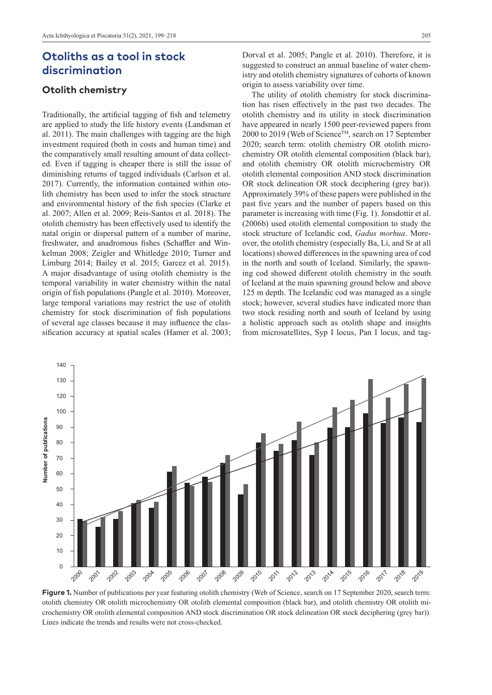## **Otoliths as a tool in stock discrimination**

#### **Otolith chemistry**

Traditionally, the artificial tagging of fish and telemetry are applied to study the life history events (Landsman et al. 2011). The main challenges with tagging are the high investment required (both in costs and human time) and the comparatively small resulting amount of data collected. Even if tagging is cheaper there is still the issue of diminishing returns of tagged individuals (Carlson et al. 2017). Currently, the information contained within otolith chemistry has been used to infer the stock structure and environmental history of the fish species (Clarke et al. 2007; Allen et al. 2009; Reis-Santos et al. 2018). The otolith chemistry has been effectively used to identify the natal origin or dispersal pattern of a number of marine, freshwater, and anadromous fishes (Schaffler and Winkelman 2008; Zeigler and Whitledge 2010; Turner and Limburg 2014; Bailey et al. 2015; Garcez et al. 2015). A major disadvantage of using otolith chemistry is the temporal variability in water chemistry within the natal origin of fish populations (Pangle et al. 2010). Moreover, large temporal variations may restrict the use of otolith chemistry for stock discrimination of fish populations of several age classes because it may influence the classification accuracy at spatial scales (Hamer et al. 2003;

Dorval et al. 2005; Pangle et al. 2010). Therefore, it is suggested to construct an annual baseline of water chemistry and otolith chemistry signatures of cohorts of known origin to assess variability over time.

The utility of otolith chemistry for stock discrimination has risen effectively in the past two decades. The otolith chemistry and its utility in stock discrimination have appeared in nearly 1500 peer-reviewed papers from 2000 to 2019 (Web of Science™, search on 17 September 2020; search term: otolith chemistry OR otolith microchemistry OR otolith elemental composition (black bar), and otolith chemistry OR otolith microchemistry OR otolith elemental composition AND stock discrimination OR stock delineation OR stock deciphering (grey bar)). Approximately 39% of these papers were published in the past five years and the number of papers based on this parameter is increasing with time (Fig. 1). Jonsdottir et al. (2006b) used otolith elemental composition to study the stock structure of Icelandic cod, *Gadus morhua*. Moreover, the otolith chemistry (especially Ba, Li, and Sr at all locations) showed differences in the spawning area of cod in the north and south of Iceland. Similarly, the spawning cod showed different otolith chemistry in the south of Iceland at the main spawning ground below and above 125 m depth. The Icelandic cod was managed as a single stock; however, several studies have indicated more than two stock residing north and south of Iceland by using a holistic approach such as otolith shape and insights from microsatellites, Syp I locus, Pan I locus, and tag-



**Figure 1.** Number of publications per year featuring otolith chemistry (Web of Science, search on 17 September 2020, search term: otolith chemistry OR otolith microchemistry OR otolith elemental composition (black bar), and otolith chemistry OR otolith microchemistry OR otolith elemental composition AND stock discrimination OR stock delineation OR stock deciphering (grey bar)). Lines indicate the trends and results were not cross-checked.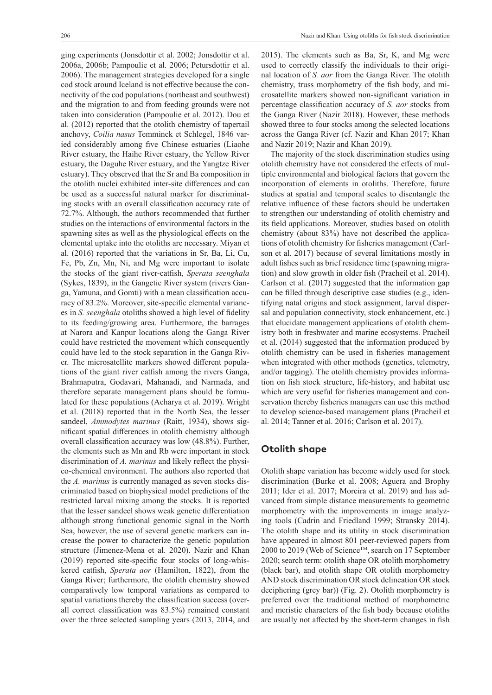ging experiments (Jonsdottir et al. 2002; Jonsdottir et al. 2006a, 2006b; Pampoulie et al. 2006; Petursdottir et al. 2006). The management strategies developed for a single cod stock around Iceland is not effective because the connectivity of the cod populations (northeast and southwest) and the migration to and from feeding grounds were not taken into consideration (Pampoulie et al. 2012). Dou et al. (2012) reported that the otolith chemistry of tapertail anchovy, *Coilia nasus* Temminck et Schlegel, 1846 varied considerably among five Chinese estuaries (Liaohe River estuary, the Haihe River estuary, the Yellow River estuary, the Daguhe River estuary, and the Yangtze River estuary). They observed that the Sr and Ba composition in the otolith nuclei exhibited inter-site differences and can be used as a successful natural marker for discriminating stocks with an overall classification accuracy rate of 72.7%. Although, the authors recommended that further studies on the interactions of environmental factors in the spawning sites as well as the physiological effects on the elemental uptake into the otoliths are necessary. Miyan et al. (2016) reported that the variations in Sr, Ba, Li, Cu, Fe, Pb, Zn, Mn, Ni, and Mg were important to isolate the stocks of the giant river-catfish, *Sperata seenghala* (Sykes, 1839), in the Gangetic River system (rivers Ganga, Yamuna, and Gomti) with a mean classification accuracy of 83.2%. Moreover, site-specific elemental variances in *S. seenghala* otoliths showed a high level of fidelity to its feeding/growing area. Furthermore, the barrages at Narora and Kanpur locations along the Ganga River could have restricted the movement which consequently could have led to the stock separation in the Ganga River. The microsatellite markers showed different populations of the giant river catfish among the rivers Ganga, Brahmaputra, Godavari, Mahanadi, and Narmada, and therefore separate management plans should be formulated for these populations (Acharya et al. 2019). Wright et al. (2018) reported that in the North Sea, the lesser sandeel, *Ammodytes marinus* (Raitt, 1934), shows significant spatial differences in otolith chemistry although overall classification accuracy was low (48.8%). Further, the elements such as Mn and Rb were important in stock discrimination of *A. marinus* and likely reflect the physico-chemical environment. The authors also reported that the *A. marinus* is currently managed as seven stocks discriminated based on biophysical model predictions of the restricted larval mixing among the stocks. It is reported that the lesser sandeel shows weak genetic differentiation although strong functional genomic signal in the North Sea, however, the use of several genetic markers can increase the power to characterize the genetic population structure (Jimenez-Mena et al. 2020). Nazir and Khan (2019) reported site-specific four stocks of long-whiskered catfish, *Sperata aor* (Hamilton, 1822), from the Ganga River; furthermore, the otolith chemistry showed comparatively low temporal variations as compared to spatial variations thereby the classification success (overall correct classification was 83.5%) remained constant over the three selected sampling years (2013, 2014, and

2015). The elements such as Ba, Sr, K, and Mg were used to correctly classify the individuals to their original location of *S. aor* from the Ganga River. The otolith chemistry, truss morphometry of the fish body, and microsatellite markers showed non-significant variation in percentage classification accuracy of *S. aor* stocks from the Ganga River (Nazir 2018). However, these methods showed three to four stocks among the selected locations across the Ganga River (cf. Nazir and Khan 2017; Khan and Nazir 2019; Nazir and Khan 2019).

The majority of the stock discrimination studies using otolith chemistry have not considered the effects of multiple environmental and biological factors that govern the incorporation of elements in otoliths. Therefore, future studies at spatial and temporal scales to disentangle the relative influence of these factors should be undertaken to strengthen our understanding of otolith chemistry and its field applications. Moreover, studies based on otolith chemistry (about 83%) have not described the applications of otolith chemistry for fisheries management (Carlson et al. 2017) because of several limitations mostly in adult fishes such as brief residence time (spawning migration) and slow growth in older fish (Pracheil et al. 2014). Carlson et al. (2017) suggested that the information gap can be filled through descriptive case studies (e.g., identifying natal origins and stock assignment, larval dispersal and population connectivity, stock enhancement, etc.) that elucidate management applications of otolith chemistry both in freshwater and marine ecosystems. Pracheil et al. (2014) suggested that the information produced by otolith chemistry can be used in fisheries management when integrated with other methods (genetics, telemetry, and/or tagging). The otolith chemistry provides information on fish stock structure, life-history, and habitat use which are very useful for fisheries management and conservation thereby fisheries managers can use this method to develop science-based management plans (Pracheil et al. 2014; Tanner et al. 2016; Carlson et al. 2017).

#### **Otolith shape**

Otolith shape variation has become widely used for stock discrimination (Burke et al. 2008; Aguera and Brophy 2011; Ider et al. 2017; Moreira et al. 2019) and has advanced from simple distance measurements to geometric morphometry with the improvements in image analyzing tools (Cadrin and Friedland 1999; Stransky 2014). The otolith shape and its utility in stock discrimination have appeared in almost 801 peer-reviewed papers from 2000 to 2019 (Web of Science™, search on 17 September 2020; search term: otolith shape OR otolith morphometry (black bar), and otolith shape OR otolith morphometry AND stock discrimination OR stock delineation OR stock deciphering (grey bar)) (Fig. 2). Otolith morphometry is preferred over the traditional method of morphometric and meristic characters of the fish body because otoliths are usually not affected by the short-term changes in fish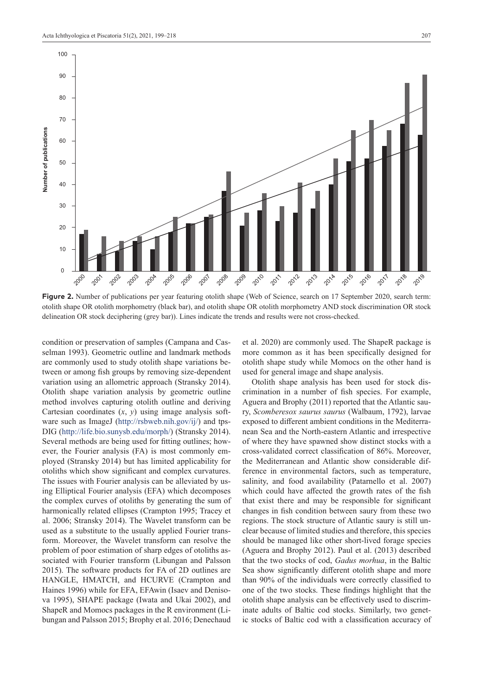

**Figure 2.** Number of publications per year featuring otolith shape (Web of Science, search on 17 September 2020, search term: otolith shape OR otolith morphometry (black bar), and otolith shape OR otolith morphometry AND stock discrimination OR stock delineation OR stock deciphering (grey bar)). Lines indicate the trends and results were not cross-checked.

condition or preservation of samples (Campana and Casselman 1993). Geometric outline and landmark methods are commonly used to study otolith shape variations between or among fish groups by removing size-dependent variation using an allometric approach (Stransky 2014). Otolith shape variation analysis by geometric outline method involves capturing otolith outline and deriving Cartesian coordinates  $(x, y)$  using image analysis software such as ImageJ (<http://rsbweb.nih.gov/ij/>) and tps-DIG (<http://life.bio.sunysb.edu/morph/>) (Stransky 2014). Several methods are being used for fitting outlines; however, the Fourier analysis (FA) is most commonly employed (Stransky 2014) but has limited applicability for otoliths which show significant and complex curvatures. The issues with Fourier analysis can be alleviated by using Elliptical Fourier analysis (EFA) which decomposes the complex curves of otoliths by generating the sum of harmonically related ellipses (Crampton 1995; Tracey et al. 2006; Stransky 2014). The Wavelet transform can be used as a substitute to the usually applied Fourier transform. Moreover, the Wavelet transform can resolve the problem of poor estimation of sharp edges of otoliths associated with Fourier transform (Libungan and Palsson 2015). The software products for FA of 2D outlines are HANGLE, HMATCH, and HCURVE (Crampton and Haines 1996) while for EFA, EFAwin (Isaev and Denisova 1995), SHAPE package (Iwata and Ukai 2002), and ShapeR and Momocs packages in the R environment (Libungan and Palsson 2015; Brophy et al. 2016; Denechaud

et al. 2020) are commonly used. The ShapeR package is more common as it has been specifically designed for otolith shape study while Momocs on the other hand is used for general image and shape analysis.

Otolith shape analysis has been used for stock discrimination in a number of fish species. For example, Aguera and Brophy (2011) reported that the Atlantic saury, *Scomberesox saurus saurus* (Walbaum, 1792), larvae exposed to different ambient conditions in the Mediterranean Sea and the North-eastern Atlantic and irrespective of where they have spawned show distinct stocks with a cross-validated correct classification of 86%. Moreover, the Mediterranean and Atlantic show considerable difference in environmental factors, such as temperature, salinity, and food availability (Patarnello et al. 2007) which could have affected the growth rates of the fish that exist there and may be responsible for significant changes in fish condition between saury from these two regions. The stock structure of Atlantic saury is still unclear because of limited studies and therefore, this species should be managed like other short-lived forage species (Aguera and Brophy 2012). Paul et al. (2013) described that the two stocks of cod, *Gadus morhua*, in the Baltic Sea show significantly different otolith shape and more than 90% of the individuals were correctly classified to one of the two stocks. These findings highlight that the otolith shape analysis can be effectively used to discriminate adults of Baltic cod stocks. Similarly, two genetic stocks of Baltic cod with a classification accuracy of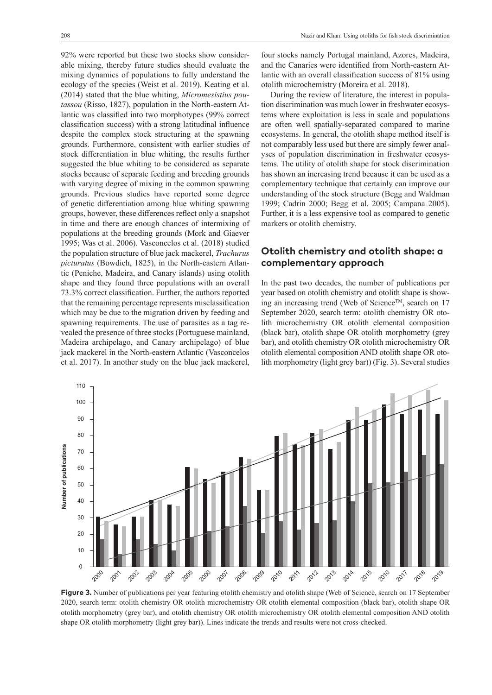92% were reported but these two stocks show considerable mixing, thereby future studies should evaluate the mixing dynamics of populations to fully understand the ecology of the species (Weist et al. 2019). Keating et al. (2014) stated that the blue whiting, *Micromesistius poutassou* (Risso, 1827), population in the North-eastern Atlantic was classified into two morphotypes (99% correct classification success) with a strong latitudinal influence despite the complex stock structuring at the spawning grounds. Furthermore, consistent with earlier studies of stock differentiation in blue whiting, the results further suggested the blue whiting to be considered as separate stocks because of separate feeding and breeding grounds with varying degree of mixing in the common spawning grounds. Previous studies have reported some degree of genetic differentiation among blue whiting spawning groups, however, these differences reflect only a snapshot in time and there are enough chances of intermixing of populations at the breeding grounds (Mork and Giaever 1995; Was et al. 2006). Vasconcelos et al. (2018) studied the population structure of blue jack mackerel, *Trachurus picturatus* (Bowdich, 1825), in the North-eastern Atlantic (Peniche, Madeira, and Canary islands) using otolith shape and they found three populations with an overall 73.3% correct classification. Further, the authors reported that the remaining percentage represents misclassification which may be due to the migration driven by feeding and spawning requirements. The use of parasites as a tag revealed the presence of three stocks (Portuguese mainland, Madeira archipelago, and Canary archipelago) of blue jack mackerel in the North-eastern Atlantic (Vasconcelos et al. 2017). In another study on the blue jack mackerel,

four stocks namely Portugal mainland, Azores, Madeira, and the Canaries were identified from North-eastern Atlantic with an overall classification success of 81% using otolith microchemistry (Moreira et al. 2018).

During the review of literature, the interest in population discrimination was much lower in freshwater ecosystems where exploitation is less in scale and populations are often well spatially-separated compared to marine ecosystems. In general, the otolith shape method itself is not comparably less used but there are simply fewer analyses of population discrimination in freshwater ecosystems. The utility of otolith shape for stock discrimination has shown an increasing trend because it can be used as a complementary technique that certainly can improve our understanding of the stock structure (Begg and Waldman 1999; Cadrin 2000; Begg et al. 2005; Campana 2005). Further, it is a less expensive tool as compared to genetic markers or otolith chemistry.

#### **Otolith chemistry and otolith shape: a complementary approach**

In the past two decades, the number of publications per year based on otolith chemistry and otolith shape is showing an increasing trend (Web of Science<sup>TM</sup>, search on 17 September 2020, search term: otolith chemistry OR otolith microchemistry OR otolith elemental composition (black bar), otolith shape OR otolith morphometry (grey bar), and otolith chemistry OR otolith microchemistry OR otolith elemental composition AND otolith shape OR otolith morphometry (light grey bar)) (Fig. 3). Several studies



**Figure 3.** Number of publications per year featuring otolith chemistry and otolith shape (Web of Science, search on 17 September 2020, search term: otolith chemistry OR otolith microchemistry OR otolith elemental composition (black bar), otolith shape OR otolith morphometry (grey bar), and otolith chemistry OR otolith microchemistry OR otolith elemental composition AND otolith shape OR otolith morphometry (light grey bar)). Lines indicate the trends and results were not cross-checked.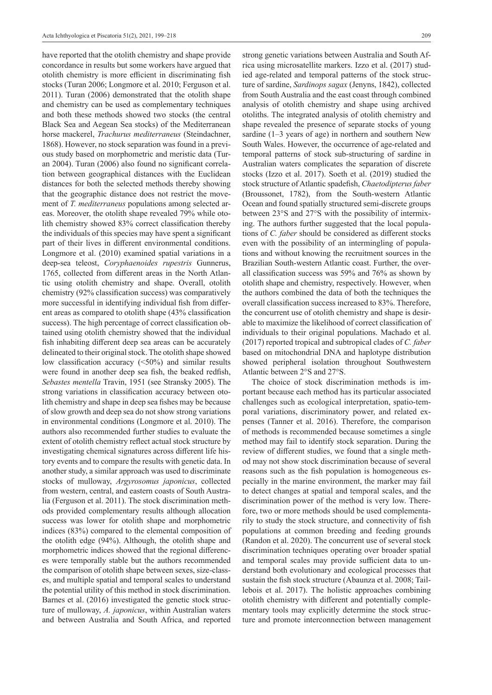have reported that the otolith chemistry and shape provide concordance in results but some workers have argued that otolith chemistry is more efficient in discriminating fish stocks (Turan 2006; Longmore et al. 2010; Ferguson et al. 2011). Turan (2006) demonstrated that the otolith shape and chemistry can be used as complementary techniques and both these methods showed two stocks (the central Black Sea and Aegean Sea stocks) of the Mediterranean horse mackerel, *Trachurus mediterraneus* (Steindachner, 1868). However, no stock separation was found in a previous study based on morphometric and meristic data (Turan 2004). Turan (2006) also found no significant correlation between geographical distances with the Euclidean distances for both the selected methods thereby showing that the geographic distance does not restrict the movement of *T. mediterraneus* populations among selected areas. Moreover, the otolith shape revealed 79% while otolith chemistry showed 83% correct classification thereby the individuals of this species may have spent a significant part of their lives in different environmental conditions. Longmore et al. (2010) examined spatial variations in a deep-sea teleost, *Coryphaenoides rupestris* Gunnerus, 1765, collected from different areas in the North Atlantic using otolith chemistry and shape. Overall, otolith chemistry (92% classification success) was comparatively more successful in identifying individual fish from different areas as compared to otolith shape (43% classification success). The high percentage of correct classification obtained using otolith chemistry showed that the individual fish inhabiting different deep sea areas can be accurately delineated to their original stock. The otolith shape showed low classification accuracy (<50%) and similar results were found in another deep sea fish, the beaked redfish, *Sebastes mentella* Travin, 1951 (see Stransky 2005). The strong variations in classification accuracy between otolith chemistry and shape in deep sea fishes may be because of slow growth and deep sea do not show strong variations in environmental conditions (Longmore et al. 2010). The authors also recommended further studies to evaluate the extent of otolith chemistry reflect actual stock structure by investigating chemical signatures across different life history events and to compare the results with genetic data. In another study, a similar approach was used to discriminate stocks of mulloway, *Argyrosomus japonicus*, collected from western, central, and eastern coasts of South Australia (Ferguson et al. 2011). The stock discrimination methods provided complementary results although allocation success was lower for otolith shape and morphometric indices (83%) compared to the elemental composition of the otolith edge (94%). Although, the otolith shape and morphometric indices showed that the regional differences were temporally stable but the authors recommended the comparison of otolith shape between sexes, size-classes, and multiple spatial and temporal scales to understand the potential utility of this method in stock discrimination. Barnes et al. (2016) investigated the genetic stock structure of mulloway, *A. japonicus*, within Australian waters and between Australia and South Africa, and reported

strong genetic variations between Australia and South Africa using microsatellite markers. Izzo et al. (2017) studied age-related and temporal patterns of the stock structure of sardine, *Sardinops sagax* (Jenyns, 1842), collected from South Australia and the east coast through combined analysis of otolith chemistry and shape using archived otoliths. The integrated analysis of otolith chemistry and shape revealed the presence of separate stocks of young sardine (1–3 years of age) in northern and southern New South Wales. However, the occurrence of age-related and temporal patterns of stock sub-structuring of sardine in Australian waters complicates the separation of discrete stocks (Izzo et al. 2017). Soeth et al. (2019) studied the stock structure of Atlantic spadefish, *Chaetodipterus faber* (Broussonet, 1782), from the South-western Atlantic Ocean and found spatially structured semi-discrete groups between 23°S and 27°S with the possibility of intermixing. The authors further suggested that the local populations of *C. faber* should be considered as different stocks even with the possibility of an intermingling of populations and without knowing the recruitment sources in the Brazilian South-western Atlantic coast. Further, the overall classification success was 59% and 76% as shown by otolith shape and chemistry, respectively. However, when the authors combined the data of both the techniques the overall classification success increased to 83%. Therefore, the concurrent use of otolith chemistry and shape is desirable to maximize the likelihood of correct classification of individuals to their original populations. Machado et al. (2017) reported tropical and subtropical clades of *C. faber* based on mitochondrial DNA and haplotype distribution showed peripheral isolation throughout Southwestern Atlantic between 2°S and 27°S.

The choice of stock discrimination methods is important because each method has its particular associated challenges such as ecological interpretation, spatio-temporal variations, discriminatory power, and related expenses (Tanner et al. 2016). Therefore, the comparison of methods is recommended because sometimes a single method may fail to identify stock separation. During the review of different studies, we found that a single method may not show stock discrimination because of several reasons such as the fish population is homogeneous especially in the marine environment, the marker may fail to detect changes at spatial and temporal scales, and the discrimination power of the method is very low. Therefore, two or more methods should be used complementarily to study the stock structure, and connectivity of fish populations at common breeding and feeding grounds (Randon et al. 2020). The concurrent use of several stock discrimination techniques operating over broader spatial and temporal scales may provide sufficient data to understand both evolutionary and ecological processes that sustain the fish stock structure (Abaunza et al. 2008; Taillebois et al. 2017). The holistic approaches combining otolith chemistry with different and potentially complementary tools may explicitly determine the stock structure and promote interconnection between management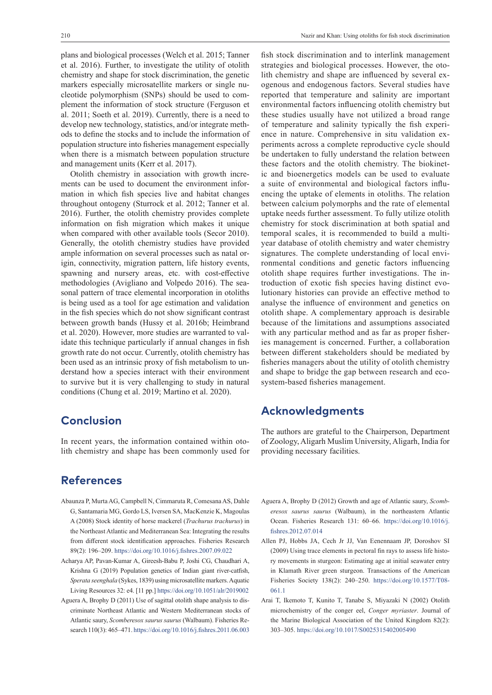plans and biological processes (Welch et al. 2015; Tanner et al. 2016). Further, to investigate the utility of otolith chemistry and shape for stock discrimination, the genetic markers especially microsatellite markers or single nucleotide polymorphism (SNPs) should be used to complement the information of stock structure (Ferguson et al. 2011; Soeth et al. 2019). Currently, there is a need to develop new technology, statistics, and/or integrate methods to define the stocks and to include the information of population structure into fisheries management especially when there is a mismatch between population structure and management units (Kerr et al. 2017).

Otolith chemistry in association with growth increments can be used to document the environment information in which fish species live and habitat changes throughout ontogeny (Sturrock et al. 2012; Tanner et al. 2016). Further, the otolith chemistry provides complete information on fish migration which makes it unique when compared with other available tools (Secor 2010). Generally, the otolith chemistry studies have provided ample information on several processes such as natal origin, connectivity, migration pattern, life history events, spawning and nursery areas, etc. with cost-effective methodologies (Avigliano and Volpedo 2016). The seasonal pattern of trace elemental incorporation in otoliths is being used as a tool for age estimation and validation in the fish species which do not show significant contrast between growth bands (Hussy et al. 2016b; Heimbrand et al. 2020). However, more studies are warranted to validate this technique particularly if annual changes in fish growth rate do not occur. Currently, otolith chemistry has been used as an intrinsic proxy of fish metabolism to understand how a species interact with their environment to survive but it is very challenging to study in natural conditions (Chung et al. 2019; Martino et al. 2020).

## **Conclusion**

In recent years, the information contained within otolith chemistry and shape has been commonly used for

## **References**

- Abaunza P, Murta AG, Campbell N, Cimmaruta R, Comesana AS, Dahle G, Santamaria MG, Gordo LS, Iversen SA, MacKenzie K, Magoulas A (2008) Stock identity of horse mackerel (*Trachurus trachurus*) in the Northeast Atlantic and Mediterranean Sea: Integrating the results from different stock identification approaches. Fisheries Research 89(2): 196–209. <https://doi.org/10.1016/j.fishres.2007.09.022>
- Acharya AP, Pavan-Kumar A, Gireesh-Babu P, Joshi CG, Chaudhari A, Krishna G (2019) Population genetics of Indian giant river-catfish, *Sperata seenghala* (Sykes, 1839) using microsatellite markers. Aquatic Living Resources 32: e4. [11 pp.] <https://doi.org/10.1051/alr/2019002>
- Aguera A, Brophy D (2011) Use of sagittal otolith shape analysis to discriminate Northeast Atlantic and Western Mediterranean stocks of Atlantic saury, *Scomberesox saurus saurus* (Walbaum). Fisheries Research 110(3): 465–471. <https://doi.org/10.1016/j.fishres.2011.06.003>

fish stock discrimination and to interlink management strategies and biological processes. However, the otolith chemistry and shape are influenced by several exogenous and endogenous factors. Several studies have reported that temperature and salinity are important environmental factors influencing otolith chemistry but these studies usually have not utilized a broad range of temperature and salinity typically the fish experience in nature. Comprehensive in situ validation experiments across a complete reproductive cycle should be undertaken to fully understand the relation between these factors and the otolith chemistry. The biokinetic and bioenergetics models can be used to evaluate a suite of environmental and biological factors influencing the uptake of elements in otoliths. The relation between calcium polymorphs and the rate of elemental uptake needs further assessment. To fully utilize otolith chemistry for stock discrimination at both spatial and temporal scales, it is recommended to build a multiyear database of otolith chemistry and water chemistry signatures. The complete understanding of local environmental conditions and genetic factors influencing otolith shape requires further investigations. The introduction of exotic fish species having distinct evolutionary histories can provide an effective method to analyse the influence of environment and genetics on otolith shape. A complementary approach is desirable because of the limitations and assumptions associated with any particular method and as far as proper fisheries management is concerned. Further, a collaboration between different stakeholders should be mediated by fisheries managers about the utility of otolith chemistry and shape to bridge the gap between research and ecosystem-based fisheries management.

## **Acknowledgments**

The authors are grateful to the Chairperson, Department of Zoology, Aligarh Muslim University, Aligarh, India for providing necessary facilities.

- Aguera A, Brophy D (2012) Growth and age of Atlantic saury, *Scomberesox saurus saurus* (Walbaum), in the northeastern Atlantic Ocean. Fisheries Research 131: 60–66. [https://doi.org/10.1016/j.](https://doi.org/10.1016/j.fishres.2012.07.014) [fishres.2012.07.014](https://doi.org/10.1016/j.fishres.2012.07.014)
- Allen PJ, Hobbs JA, Cech Jr JJ, Van Eenennaam JP, Doroshov SI (2009) Using trace elements in pectoral fin rays to assess life history movements in sturgeon: Estimating age at initial seawater entry in Klamath River green sturgeon. Transactions of the American Fisheries Society 138(2): 240–250. [https://doi.org/10.1577/T08-](https://doi.org/10.1577/T08-061.1) [061.1](https://doi.org/10.1577/T08-061.1)
- Arai T, Ikemoto T, Kunito T, Tanabe S, Miyazaki N (2002) Otolith microchemistry of the conger eel, *Conger myriaster*. Journal of the Marine Biological Association of the United Kingdom 82(2): 303–305.<https://doi.org/10.1017/S0025315402005490>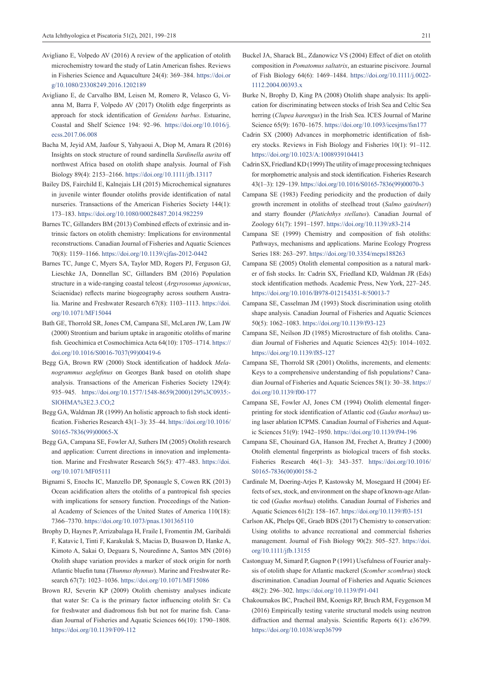- Avigliano E, Volpedo AV (2016) A review of the application of otolith microchemistry toward the study of Latin American fishes. Reviews in Fisheries Science and Aquaculture 24(4): 369–384. [https://doi.or](https://doi.org/10.1080/23308249.2016.1202189) [g/10.1080/23308249.2016.1202189](https://doi.org/10.1080/23308249.2016.1202189)
- Avigliano E, de Carvalho BM, Leisen M, Romero R, Velasco G, Vianna M, Barra F, Volpedo AV (2017) Otolith edge fingerprints as approach for stock identification of *Genidens barbus*. Estuarine, Coastal and Shelf Science 194: 92–96. [https://doi.org/10.1016/j.](https://doi.org/10.1016/j.ecss.2017.06.008) [ecss.2017.06.008](https://doi.org/10.1016/j.ecss.2017.06.008)
- Bacha M, Jeyid AM, Jaafour S, Yahyaoui A, Diop M, Amara R (2016) Insights on stock structure of round sardinella *Sardinella aurita* off northwest Africa based on otolith shape analysis. Journal of Fish Biology 89(4): 2153–2166. <https://doi.org/10.1111/jfb.13117>
- Bailey DS, Fairchild E, Kalnejais LH (2015) Microchemical signatures in juvenile winter flounder otoliths provide identification of natal nurseries. Transactions of the American Fisheries Society 144(1): 173–183.<https://doi.org/10.1080/00028487.2014.982259>
- Barnes TC, Gillanders BM (2013) Combined effects of extrinsic and intrinsic factors on otolith chemistry: Implications for environmental reconstructions. Canadian Journal of Fisheries and Aquatic Sciences 70(8): 1159–1166. <https://doi.org/10.1139/cjfas-2012-0442>
- Barnes TC, Junge C, Myers SA, Taylor MD, Rogers PJ, Ferguson GJ, Lieschke JA, Donnellan SC, Gillanders BM (2016) Population structure in a wide-ranging coastal teleost (*Argyrosomus japonicus*, Sciaenidae) reflects marine biogeography across southern Australia. Marine and Freshwater Research 67(8): 1103–1113. [https://doi.](https://doi.org/10.1071/MF15044) [org/10.1071/MF15044](https://doi.org/10.1071/MF15044)
- Bath GE, Thorrold SR, Jones CM, Campana SE, McLaren JW, Lam JW (2000) Strontium and barium uptake in aragonitic otoliths of marine fish. Geochimica et Cosmochimica Acta 64(10): 1705–1714. [https://](https://doi.org/10.1016/S0016-7037(99)00419-6) [doi.org/10.1016/S0016-7037\(99\)00419-6](https://doi.org/10.1016/S0016-7037(99)00419-6)
- Begg GA, Brown RW (2000) Stock identification of haddock *Melanogrammus aeglefinus* on Georges Bank based on otolith shape analysis. Transactions of the American Fisheries Society 129(4): 935–945. [https://doi.org/10.1577/1548-8659\(2000\)129%3C0935:-](https://doi.org/10.1577/1548-8659(2000)129%3C0935:SIOHMA%3E2.3.CO;2) [SIOHMA%3E2.3.CO;2](https://doi.org/10.1577/1548-8659(2000)129%3C0935:SIOHMA%3E2.3.CO;2)
- Begg GA, Waldman JR (1999) An holistic approach to fish stock identification. Fisheries Research 43(1–3): 35–44. [https://doi.org/10.1016/](https://doi.org/10.1016/S0165-7836(99)00065-X) [S0165-7836\(99\)00065-X](https://doi.org/10.1016/S0165-7836(99)00065-X)
- Begg GA, Campana SE, Fowler AJ, Suthers IM (2005) Otolith research and application: Current directions in innovation and implementation. Marine and Freshwater Research 56(5): 477–483. [https://doi.](https://doi.org/10.1071/MF05111) [org/10.1071/MF05111](https://doi.org/10.1071/MF05111)
- Bignami S, Enochs IC, Manzello DP, Sponaugle S, Cowen RK (2013) Ocean acidification alters the otoliths of a pantropical fish species with implications for sensory function. Proceedings of the National Academy of Sciences of the United States of America 110(18): 7366–7370.<https://doi.org/10.1073/pnas.1301365110>
- Brophy D, Haynes P, Arrizabalaga H, Fraile I, Fromentin JM, Garibaldi F, Katavic I, Tinti F, Karakulak S, Macias D, Busawon D, Hanke A, Kimoto A, Sakai O, Deguara S, Nouredinne A, Santos MN (2016) Otolith shape variation provides a marker of stock origin for north Atlantic bluefin tuna (*Thunnus thynnus*). Marine and Freshwater Research 67(7): 1023–1036.<https://doi.org/10.1071/MF15086>
- Brown RJ, Severin KP (2009) Otolith chemistry analyses indicate that water Sr: Ca is the primary factor influencing otolith Sr: Ca for freshwater and diadromous fish but not for marine fish. Canadian Journal of Fisheries and Aquatic Sciences 66(10): 1790–1808. <https://doi.org/10.1139/F09-112>
- Buckel JA, Sharack BL, Zdanowicz VS (2004) Effect of diet on otolith composition in *Pomatomus saltatrix*, an estuarine piscivore. Journal of Fish Biology 64(6): 1469–1484. [https://doi.org/10.1111/j.0022-](https://doi.org/10.1111/j.0022-1112.2004.00393.x) [1112.2004.00393.x](https://doi.org/10.1111/j.0022-1112.2004.00393.x)
- Burke N, Brophy D, King PA (2008) Otolith shape analysis: Its application for discriminating between stocks of Irish Sea and Celtic Sea herring (*Clupea harengus*) in the Irish Sea. ICES Journal of Marine Science 65(9): 1670–1675.<https://doi.org/10.1093/icesjms/fsn177>
- Cadrin SX (2000) Advances in morphometric identification of fishery stocks. Reviews in Fish Biology and Fisheries 10(1): 91–112. <https://doi.org/10.1023/A:1008939104413>
- Cadrin SX, Friedland KD (1999) The utility of image processing techniques for morphometric analysis and stock identification. Fisheries Research 43(1–3): 129–139. [https://doi.org/10.1016/S0165-7836\(99\)00070-3](https://doi.org/10.1016/S0165-7836(99)00070-3)
- Campana SE (1983) Feeding periodicity and the production of daily growth increment in otoliths of steelhead trout (*Salmo gairdneri*) and starry flounder (*Platichthys stellatus*). Canadian Journal of Zoology 61(7): 1591–1597. <https://doi.org/10.1139/z83-214>
- Campana SE (1999) Chemistry and composition of fish otoliths: Pathways, mechanisms and applications. Marine Ecology Progress Series 188: 263–297.<https://doi.org/10.3354/meps188263>
- Campana SE (2005) Otolith elemental composition as a natural marker of fish stocks. In: Cadrin SX, Friedland KD, Waldman JR (Eds) stock identification methods. Academic Press, New York, 227-245. <https://doi.org/10.1016/B978-012154351-8/50013-7>
- Campana SE, Casselman JM (1993) Stock discrimination using otolith shape analysis. Canadian Journal of Fisheries and Aquatic Sciences 50(5): 1062–1083. <https://doi.org/10.1139/f93-123>
- Campana SE, Neilson JD (1985) Microstructure of fish otoliths. Canadian Journal of Fisheries and Aquatic Sciences 42(5): 1014–1032. <https://doi.org/10.1139/f85-127>
- Campana SE, Thorrold SR (2001) Otoliths, increments, and elements: Keys to a comprehensive understanding of fish populations? Canadian Journal of Fisheries and Aquatic Sciences 58(1): 30–38. [https://](https://doi.org/10.1139/f00-177) [doi.org/10.1139/f00-177](https://doi.org/10.1139/f00-177)
- Campana SE, Fowler AJ, Jones CM (1994) Otolith elemental fingerprinting for stock identification of Atlantic cod (*Gadus morhua*) using laser ablation ICPMS. Canadian Journal of Fisheries and Aquatic Sciences 51(9): 1942–1950. <https://doi.org/10.1139/f94-196>
- Campana SE, Chouinard GA, Hanson JM, Frechet A, Brattey J (2000) Otolith elemental fingerprints as biological tracers of fish stocks. Fisheries Research 46(1–3): 343–357. [https://doi.org/10.1016/](https://doi.org/10.1016/S0165-7836(00)00158-2) [S0165-7836\(00\)00158-2](https://doi.org/10.1016/S0165-7836(00)00158-2)
- Cardinale M, Doering-Arjes P, Kastowsky M, Mosegaard H (2004) Effects of sex, stock, and environment on the shape of known-age Atlantic cod (*Gadus morhua*) otoliths. Canadian Journal of Fisheries and Aquatic Sciences 61(2): 158–167. <https://doi.org/10.1139/f03-151>
- Carlson AK, Phelps QE, Graeb BDS (2017) Chemistry to conservation: Using otoliths to advance recreational and commercial fisheries management. Journal of Fish Biology 90(2): 505–527. [https://doi.](https://doi.org/10.1111/jfb.13155) [org/10.1111/jfb.13155](https://doi.org/10.1111/jfb.13155)
- Castonguay M, Simard P, Gagnon P (1991) Usefulness of Fourier analysis of otolith shape for Atlantic mackerel (*Scomber scombrus*) stock discrimination. Canadian Journal of Fisheries and Aquatic Sciences 48(2): 296–302. <https://doi.org/10.1139/f91-041>
- Chakoumakos BC, Pracheil BM, Koenigs RP, Bruch RM, Feygenson M (2016) Empirically testing vaterite structural models using neutron diffraction and thermal analysis. Scientific Reports 6(1): e36799. <https://doi.org/10.1038/srep36799>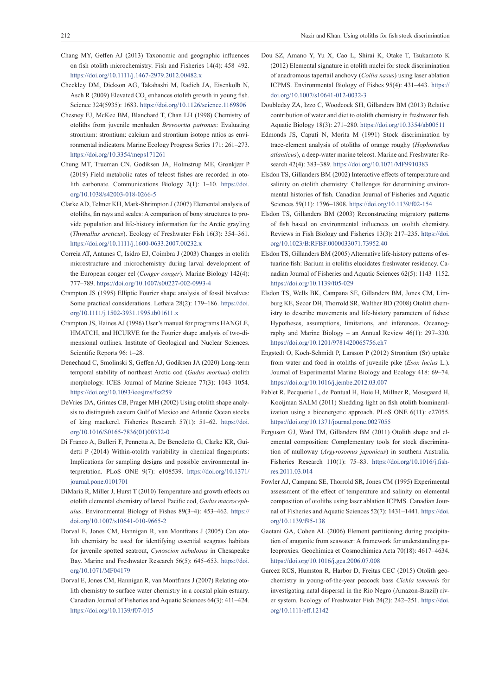- Chang MY, Geffen AJ (2013) Taxonomic and geographic influences on fish otolith microchemistry. Fish and Fisheries 14(4): 458–492. <https://doi.org/10.1111/j.1467-2979.2012.00482.x>
- Checkley DM, Dickson AG, Takahashi M, Radich JA, Eisenkolb N, Asch R (2009) Elevated  $CO_2$  enhances otolith growth in young fish. Science 324(5935): 1683.<https://doi.org/10.1126/science.1169806>
- Chesney EJ, McKee BM, Blanchard T, Chan LH (1998) Chemistry of otoliths from juvenile menhaden *Brevoortia patronus*: Evaluating strontium: strontium: calcium and strontium isotope ratios as environmental indicators. Marine Ecology Progress Series 171: 261–273. <https://doi.org/10.3354/meps171261>
- Chung MT, Trueman CN, Godiksen JA, Holmstrup ME, Grønkjær P (2019) Field metabolic rates of teleost fishes are recorded in otolith carbonate. Communications Biology 2(1): 1–10. [https://doi.](https://doi.org/10.1038/s42003-018-0266-5) [org/10.1038/s42003-018-0266-5](https://doi.org/10.1038/s42003-018-0266-5)
- Clarke AD, Telmer KH, Mark-Shrimpton J (2007) Elemental analysis of otoliths, fin rays and scales: A comparison of bony structures to provide population and life‐history information for the Arctic grayling (*Thymallus arcticus*). Ecology of Freshwater Fish 16(3): 354–361. <https://doi.org/10.1111/j.1600-0633.2007.00232.x>
- Correia AT, Antunes C, Isidro EJ, Coimbra J (2003) Changes in otolith microstructure and microchemistry during larval development of the European conger eel (*Conger conger*). Marine Biology 142(4): 777–789. <https://doi.org/10.1007/s00227-002-0993-4>
- Crampton JS (1995) Elliptic Fourier shape analysis of fossil bivalves: Some practical considerations. Lethaia 28(2): 179–186. [https://doi.](https://doi.org/10.1111/j.1502-3931.1995.tb01611.x) [org/10.1111/j.1502-3931.1995.tb01611.x](https://doi.org/10.1111/j.1502-3931.1995.tb01611.x)
- Crampton JS, Haines AJ (1996) User's manual for programs HANGLE, HMATCH, and HCURVE for the Fourier shape analysis of two-dimensional outlines. Institute of Geological and Nuclear Sciences. Scientific Reports 96: 1–28.
- Denechaud C, Smolinski S, Geffen AJ, Godiksen JA (2020) Long-term temporal stability of northeast Arctic cod (*Gadus morhua*) otolith morphology. ICES Journal of Marine Science 77(3): 1043–1054. <https://doi.org/10.1093/icesjms/fsz259>
- DeVries DA, Grimes CB, Prager MH (2002) Using otolith shape analysis to distinguish eastern Gulf of Mexico and Atlantic Ocean stocks of king mackerel. Fisheries Research 57(1): 51–62. [https://doi.](https://doi.org/10.1016/S0165-7836(01)00332-0) [org/10.1016/S0165-7836\(01\)00332-0](https://doi.org/10.1016/S0165-7836(01)00332-0)
- Di Franco A, Bulleri F, Pennetta A, De Benedetto G, Clarke KR, Guidetti P (2014) Within-otolith variability in chemical fingerprints: Implications for sampling designs and possible environmental interpretation. PLoS ONE 9(7): e108539. [https://doi.org/10.1371/](https://doi.org/10.1371/journal.pone.0101701) [journal.pone.0101701](https://doi.org/10.1371/journal.pone.0101701)
- DiMaria R, Miller J, Hurst T (2010) Temperature and growth effects on otolith elemental chemistry of larval Pacific cod, *Gadus macrocephalus*. Environmental Biology of Fishes 89(3–4): 453–462. [https://](https://doi.org/10.1007/s10641-010-9665-2) [doi.org/10.1007/s10641-010-9665-2](https://doi.org/10.1007/s10641-010-9665-2)
- Dorval E, Jones CM, Hannigan R, van Montfrans J (2005) Can otolith chemistry be used for identifying essential seagrass habitats for juvenile spotted seatrout, *Cynoscion nebulosus* in Chesapeake Bay. Marine and Freshwater Research 56(5): 645–653. [https://doi.](https://doi.org/10.1071/MF04179) [org/10.1071/MF04179](https://doi.org/10.1071/MF04179)
- Dorval E, Jones CM, Hannigan R, van Montfrans J (2007) Relating otolith chemistry to surface water chemistry in a coastal plain estuary. Canadian Journal of Fisheries and Aquatic Sciences 64(3): 411–424. <https://doi.org/10.1139/f07-015>
- Dou SZ, Amano Y, Yu X, Cao L, Shirai K, Otake T, Tsukamoto K (2012) Elemental signature in otolith nuclei for stock discrimination of anadromous tapertail anchovy (*Coilia nasus*) using laser ablation ICPMS. Environmental Biology of Fishes 95(4): 431–443. [https://](https://doi.org/10.1007/s10641-012-0032-3) [doi.org/10.1007/s10641-012-0032-3](https://doi.org/10.1007/s10641-012-0032-3)
- Doubleday ZA, Izzo C, Woodcock SH, Gillanders BM (2013) Relative contribution of water and diet to otolith chemistry in freshwater fish. Aquatic Biology 18(3): 271–280.<https://doi.org/10.3354/ab00511>
- Edmonds JS, Caputi N, Morita M (1991) Stock discrimination by trace-element analysis of otoliths of orange roughy (*Hoplostethus atlanticus*), a deep-water marine teleost. Marine and Freshwater Research 42(4): 383–389.<https://doi.org/10.1071/MF9910383>
- Elsdon TS, Gillanders BM (2002) Interactive effects of temperature and salinity on otolith chemistry: Challenges for determining environmental histories of fish. Canadian Journal of Fisheries and Aquatic Sciences 59(11): 1796–1808. <https://doi.org/10.1139/f02-154>
- Elsdon TS, Gillanders BM (2003) Reconstructing migratory patterns of fish based on environmental influences on otolith chemistry. Reviews in Fish Biology and Fisheries 13(3): 217–235. [https://doi.](https://doi.org/10.1023/B:RFBF.0000033071.73952.40) [org/10.1023/B:RFBF.0000033071.73952.40](https://doi.org/10.1023/B:RFBF.0000033071.73952.40)
- Elsdon TS, Gillanders BM (2005) Alternative life-history patterns of estuarine fish: Barium in otoliths elucidates freshwater residency. Canadian Journal of Fisheries and Aquatic Sciences 62(5): 1143–1152. <https://doi.org/10.1139/f05-029>
- Elsdon TS, Wells BK, Campana SE, Gillanders BM, Jones CM, Limburg KE, Secor DH, Thorrold SR, Walther BD (2008) Otolith chemistry to describe movements and life-history parameters of fishes: Hypotheses, assumptions, limitations, and inferences. Oceanography and Marine Biology – an Annual Review 46(1): 297–330. <https://doi.org/10.1201/9781420065756.ch7>
- Engstedt O, Koch-Schmidt P, Larsson P (2012) Strontium (Sr) uptake from water and food in otoliths of juvenile pike (*Esox lucius* L.). Journal of Experimental Marine Biology and Ecology 418: 69–74. <https://doi.org/10.1016/j.jembe.2012.03.007>
- Fablet R, Pecquerie L, de Pontual H, Hoie H, Millner R, Mosegaard H, Kooijman SALM (2011) Shedding light on fish otolith biomineralization using a bioenergetic approach. PLoS ONE 6(11): e27055. <https://doi.org/10.1371/journal.pone.0027055>
- Ferguson GJ, Ward TM, Gillanders BM (2011) Otolith shape and elemental composition: Complementary tools for stock discrimination of mulloway (*Argyrosomus japonicus*) in southern Australia. Fisheries Research 110(1): 75–83. [https://doi.org/10.1016/j.fish](https://doi.org/10.1016/j.fishres.2011.03.014)[res.2011.03.014](https://doi.org/10.1016/j.fishres.2011.03.014)
- Fowler AJ, Campana SE, Thorrold SR, Jones CM (1995) Experimental assessment of the effect of temperature and salinity on elemental composition of otoliths using laser ablation ICPMS. Canadian Journal of Fisheries and Aquatic Sciences 52(7): 1431–1441. [https://doi.](https://doi.org/10.1139/f95-138) [org/10.1139/f95-138](https://doi.org/10.1139/f95-138)
- Gaetani GA, Cohen AL (2006) Element partitioning during precipitation of aragonite from seawater: A framework for understanding paleoproxies. Geochimica et Cosmochimica Acta 70(18): 4617–4634. <https://doi.org/10.1016/j.gca.2006.07.008>
- Garcez RCS, Humston R, Harbor D, Freitas CEC (2015) Otolith geochemistry in young-of-the-year peacock bass *Cichla temensis* for investigating natal dispersal in the Rio Negro (Amazon-Brazil) river system. Ecology of Freshwater Fish 24(2): 242–251. [https://doi.](https://doi.org/10.1111/eff.12142) [org/10.1111/eff.12142](https://doi.org/10.1111/eff.12142)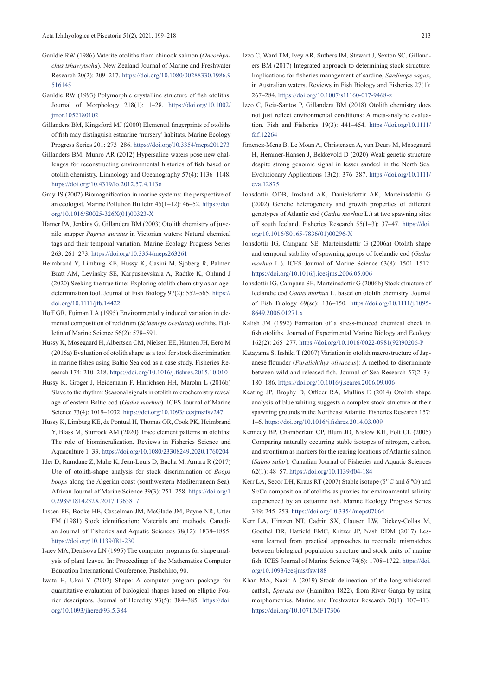- Gauldie RW (1986) Vaterite otoliths from chinook salmon (*Oncorhynchus tshawytscha*). New Zealand Journal of Marine and Freshwater Research 20(2): 209–217. [https://doi.org/10.1080/00288330.1986.9](https://doi.org/10.1080/00288330.1986.9516145) [516145](https://doi.org/10.1080/00288330.1986.9516145)
- Gauldie RW (1993) Polymorphic crystalline structure of fish otoliths. Journal of Morphology 218(1): 1–28. [https://doi.org/10.1002/](https://doi.org/10.1002/jmor.1052180102) imor.1052180102
- Gillanders BM, Kingsford MJ (2000) Elemental fingerprints of otoliths of fish may distinguish estuarine 'nursery' habitats. Marine Ecology Progress Series 201: 273–286. <https://doi.org/10.3354/meps201273>
- Gillanders BM, Munro AR (2012) Hypersaline waters pose new challenges for reconstructing environmental histories of fish based on otolith chemistry. Limnology and Oceanography 57(4): 1136–1148. <https://doi.org/10.4319/lo.2012.57.4.1136>
- Gray JS (2002) Biomagnification in marine systems: the perspective of an ecologist. Marine Pollution Bulletin 45(1-12): 46-52. [https://doi.](https://doi.org/10.1016/S0025-326X(01)00323-X) [org/10.1016/S0025-326X\(01\)00323-X](https://doi.org/10.1016/S0025-326X(01)00323-X)
- Hamer PA, Jenkins G, Gillanders BM (2003) Otolith chemistry of juvenile snapper *Pagrus auratus* in Victorian waters: Natural chemical tags and their temporal variation. Marine Ecology Progress Series 263: 261–273. <https://doi.org/10.3354/meps263261>
- Heimbrand Y, Limburg KE, Hussy K, Casini M, Sjoberg R, Palmen Bratt AM, Levinsky SE, Karpushevskaia A, Radtke K, Ohlund J (2020) Seeking the true time: Exploring otolith chemistry as an agedetermination tool. Journal of Fish Biology 97(2): 552–565. [https://](https://doi.org/10.1111/jfb.14422) [doi.org/10.1111/jfb.14422](https://doi.org/10.1111/jfb.14422)
- Hoff GR, Fuiman LA (1995) Environmentally induced variation in elemental composition of red drum (*Sciaenops ocellatus*) otoliths. Bulletin of Marine Science 56(2): 578–591.
- Hussy K, Mosegaard H, Albertsen CM, Nielsen EE, Hansen JH, Eero M (2016a) Evaluation of otolith shape as a tool for stock discrimination in marine fishes using Baltic Sea cod as a case study. Fisheries Research 174: 210–218. <https://doi.org/10.1016/j.fishres.2015.10.010>
- Hussy K, Groger J, Heidemann F, Hinrichsen HH, Marohn L (2016b) Slave to the rhythm: Seasonal signals in otolith microchemistry reveal age of eastern Baltic cod (*Gadus morhua*). ICES Journal of Marine Science 73(4): 1019–1032.<https://doi.org/10.1093/icesjms/fsv247>
- Hussy K, Limburg KE, de Pontual H, Thomas OR, Cook PK, Heimbrand Y, Blass M, Sturrock AM (2020) Trace element patterns in otoliths: The role of biomineralization. Reviews in Fisheries Science and Aquaculture 1–33.<https://doi.org/10.1080/23308249.2020.1760204>
- Ider D, Ramdane Z, Mahe K, Jean-Louis D, Bacha M, Amara R (2017) Use of otolith-shape analysis for stock discrimination of *Boops boops* along the Algerian coast (southwestern Mediterranean Sea). African Journal of Marine Science 39(3): 251–258. [https://doi.org/1](https://doi.org/10.2989/1814232X.2017.1363817) [0.2989/1814232X.2017.1363817](https://doi.org/10.2989/1814232X.2017.1363817)
- Ihssen PE, Booke HE, Casselman JM, McGlade JM, Payne NR, Utter FM (1981) Stock identification: Materials and methods. Canadian Journal of Fisheries and Aquatic Sciences 38(12): 1838–1855. <https://doi.org/10.1139/f81-230>
- Isaev MA, Denisova LN (1995) The computer programs for shape analysis of plant leaves. In: Proceedings of the Mathematics Computer Education International Conference, Pushchino, 90.
- Iwata H, Ukai Y (2002) Shape: A computer program package for quantitative evaluation of biological shapes based on elliptic Fourier descriptors. Journal of Heredity 93(5): 384–385. [https://doi.](https://doi.org/10.1093/jhered/93.5.384) [org/10.1093/jhered/93.5.384](https://doi.org/10.1093/jhered/93.5.384)
- 
- Izzo C, Ward TM, Ivey AR, Suthers IM, Stewart J, Sexton SC, Gillanders BM (2017) Integrated approach to determining stock structure: Implications for fisheries management of sardine, *Sardinops sagax*, in Australian waters. Reviews in Fish Biology and Fisheries 27(1): 267–284. <https://doi.org/10.1007/s11160-017-9468-z>
- Izzo C, Reis-Santos P, Gillanders BM (2018) Otolith chemistry does not just reflect environmental conditions: A meta-analytic evaluation. Fish and Fisheries 19(3): 441–454. [https://doi.org/10.1111/](https://doi.org/10.1111/faf.12264) [faf.12264](https://doi.org/10.1111/faf.12264)
- Jimenez-Mena B, Le Moan A, Christensen A, van Deurs M, Mosegaard H, Hemmer-Hansen J, Bekkevold D (2020) Weak genetic structure despite strong genomic signal in lesser sandeel in the North Sea. Evolutionary Applications 13(2): 376–387. [https://doi.org/10.1111/](https://doi.org/10.1111/eva.12875) [eva.12875](https://doi.org/10.1111/eva.12875)
- Jonsdottir ODB, Imsland AK, Danielsdottir AK, Marteinsdottir G (2002) Genetic heterogeneity and growth properties of different genotypes of Atlantic cod (*Gadus morhua* L.) at two spawning sites off south Iceland. Fisheries Research 55(1–3): 37–47. [https://doi.](https://doi.org/10.1016/S0165-7836(01)00296-X) [org/10.1016/S0165-7836\(01\)00296-X](https://doi.org/10.1016/S0165-7836(01)00296-X)
- Jonsdottir IG, Campana SE, Marteinsdottir G (2006a) Otolith shape and temporal stability of spawning groups of Icelandic cod (*Gadus morhua* L.). ICES Journal of Marine Science 63(8): 1501–1512. <https://doi.org/10.1016/j.icesjms.2006.05.006>
- Jonsdottir IG, Campana SE, Marteinsdottir G (2006b) Stock structure of Icelandic cod *Gadus morhua* L. based on otolith chemistry. Journal of Fish Biology 69(sc): 136–150. [https://doi.org/10.1111/j.1095-](https://doi.org/10.1111/j.1095-8649.2006.01271.x) [8649.2006.01271.x](https://doi.org/10.1111/j.1095-8649.2006.01271.x)
- Kalish JM (1992) Formation of a stress-induced chemical check in fish otoliths. Journal of Experimental Marine Biology and Ecology 162(2): 265–277. [https://doi.org/10.1016/0022-0981\(92\)90206-P](https://doi.org/10.1016/0022-0981(92)90206-P)
- Katayama S, Isshiki T (2007) Variation in otolith macrostructure of Japanese flounder (*Paralichthys olivaceus*): A method to discriminate between wild and released fish. Journal of Sea Research 57(2–3): 180–186. <https://doi.org/10.1016/j.seares.2006.09.006>
- Keating JP, Brophy D, Officer RA, Mullins E (2014) Otolith shape analysis of blue whiting suggests a complex stock structure at their spawning grounds in the Northeast Atlantic. Fisheries Research 157: 1–6. <https://doi.org/10.1016/j.fishres.2014.03.009>
- Kennedy BP, Chamberlain CP, Blum JD, Nislow KH, Folt CL (2005) Comparing naturally occurring stable isotopes of nitrogen, carbon, and strontium as markers for the rearing locations of Atlantic salmon (*Salmo salar*). Canadian Journal of Fisheries and Aquatic Sciences 62(1): 48–57. <https://doi.org/10.1139/f04-184>
- Kerr LA, Secor DH, Kraus RT (2007) Stable isotope ( $\delta^{13}$ C and  $\delta^{18}$ O) and Sr/Ca composition of otoliths as proxies for environmental salinity experienced by an estuarine fish. Marine Ecology Progress Series 349: 245–253. <https://doi.org/10.3354/meps07064>
- Kerr LA, Hintzen NT, Cadrin SX, Clausen LW, Dickey-Collas M, Goethel DR, Hatfield EMC, Kritzer JP, Nash RDM (2017) Lessons learned from practical approaches to reconcile mismatches between biological population structure and stock units of marine fish. ICES Journal of Marine Science 74(6): 1708–1722. [https://doi.](https://doi.org/10.1093/icesjms/fsw188) [org/10.1093/icesjms/fsw188](https://doi.org/10.1093/icesjms/fsw188)
- Khan MA, Nazir A (2019) Stock delineation of the long-whiskered catfish, *Sperata aor* (Hamilton 1822), from River Ganga by using morphometrics. Marine and Freshwater Research 70(1): 107–113. <https://doi.org/10.1071/MF17306>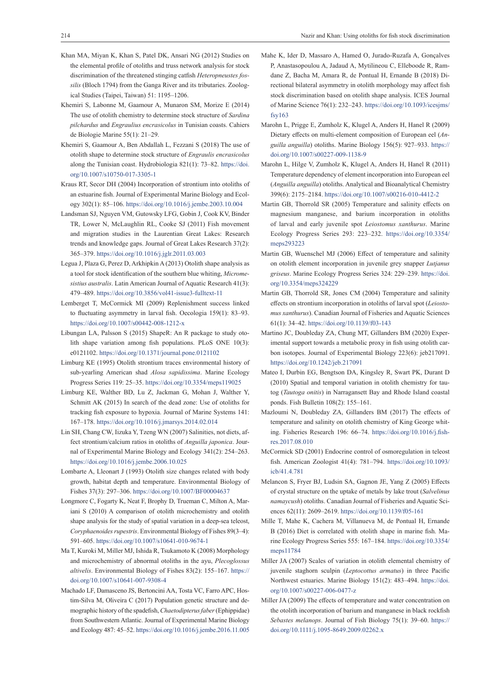- Khan MA, Miyan K, Khan S, Patel DK, Ansari NG (2012) Studies on the elemental profile of otoliths and truss network analysis for stock discrimination of the threatened stinging catfish *Heteropneustes fossilis* (Bloch 1794) from the Ganga River and its tributaries. Zoological Studies (Taipei, Taiwan) 51: 1195–1206.
- Khemiri S, Labonne M, Gaamour A, Munaron SM, Morize E (2014) The use of otolith chemistry to determine stock structure of *Sardina pilchardus* and *Engraulius encrasicolus* in Tunisian coasts. Cahiers de Biologie Marine 55(1): 21–29.
- Khemiri S, Gaamour A, Ben Abdallah L, Fezzani S (2018) The use of otolith shape to determine stock structure of *Engraulis encrasicolus* along the Tunisian coast. Hydrobiologia 821(1): 73–82. [https://doi.](https://doi.org/10.1007/s10750-017-3305-1) [org/10.1007/s10750-017-3305-1](https://doi.org/10.1007/s10750-017-3305-1)
- Kraus RT, Secor DH (2004) Incorporation of strontium into otoliths of an estuarine fish. Journal of Experimental Marine Biology and Ecology 302(1): 85–106. <https://doi.org/10.1016/j.jembe.2003.10.004>
- Landsman SJ, Nguyen VM, Gutowsky LFG, Gobin J, Cook KV, Binder TR, Lower N, McLaughlin RL, Cooke SJ (2011) Fish movement and migration studies in the Laurentian Great Lakes: Research trends and knowledge gaps. Journal of Great Lakes Research 37(2): 365–379.<https://doi.org/10.1016/j.jglr.2011.03.003>
- Legua J, Plaza G, Perez D, Arkhipkin A (2013) Otolith shape analysis as a tool for stock identification of the southern blue whiting, *Micromesistius australis*. Latin American Journal of Aquatic Research 41(3): 479–489. <https://doi.org/10.3856/vol41-issue3-fulltext-11>
- Lemberget T, McCormick MI (2009) Replenishment success linked to fluctuating asymmetry in larval fish. Oecologia 159(1): 83–93. <https://doi.org/10.1007/s00442-008-1212-x>
- Libungan LA, Palsson S (2015) ShapeR: An R package to study otolith shape variation among fish populations. PLoS ONE 10(3): e0121102.<https://doi.org/10.1371/journal.pone.0121102>
- Limburg KE (1995) Otolith strontium traces environmental history of sub-yearling American shad *Alosa sapidissima*. Marine Ecology Progress Series 119: 25–35.<https://doi.org/10.3354/meps119025>
- Limburg KE, Walther BD, Lu Z, Jackman G, Mohan J, Walther Y, Schmitt AK (2015) In search of the dead zone: Use of otoliths for tracking fish exposure to hypoxia. Journal of Marine Systems 141: 167–178.<https://doi.org/10.1016/j.jmarsys.2014.02.014>
- Lin SH, Chang CW, Iizuka Y, Tzeng WN (2007) Salinities, not diets, affect strontium/calcium ratios in otoliths of *Anguilla japonica*. Journal of Experimental Marine Biology and Ecology 341(2): 254–263. <https://doi.org/10.1016/j.jembe.2006.10.025>
- Lombarte A, Lleonart J (1993) Otolith size changes related with body growth, habitat depth and temperature. Environmental Biology of Fishes 37(3): 297–306.<https://doi.org/10.1007/BF00004637>
- Longmore C, Fogarty K, Neat F, Brophy D, Trueman C, Milton A, Mariani S (2010) A comparison of otolith microchemistry and otolith shape analysis for the study of spatial variation in a deep-sea teleost, *Coryphaenoides rupestris*. Environmental Biology of Fishes 89(3–4): 591–605. <https://doi.org/10.1007/s10641-010-9674-1>
- Ma T, Kuroki M, Miller MJ, Ishida R, Tsukamoto K (2008) Morphology and microchemistry of abnormal otoliths in the ayu, *Plecoglossus altivelis*. Environmental Biology of Fishes 83(2): 155–167. [https://](https://doi.org/10.1007/s10641-007-9308-4) [doi.org/10.1007/s10641-007-9308-4](https://doi.org/10.1007/s10641-007-9308-4)
- Machado LF, Damasceno JS, Bertoncini AA, Tosta VC, Farro APC, Hostim-Silva M, Oliveira C (2017) Population genetic structure and demographic history of the spadefish, *Chaetodipterus faber* (Ephippidae) from Southwestern Atlantic. Journal of Experimental Marine Biology and Ecology 487: 45–52. <https://doi.org/10.1016/j.jembe.2016.11.005>
- Mahe K, Ider D, Massaro A, Hamed O, Jurado-Ruzafa A, Gonçalves P, Anastasopoulou A, Jadaud A, Mytilineou C, Elleboode R, Ramdane Z, Bacha M, Amara R, de Pontual H, Ernande B (2018) Directional bilateral asymmetry in otolith morphology may affect fish stock discrimination based on otolith shape analysis. ICES Journal of Marine Science 76(1): 232–243. [https://doi.org/10.1093/icesjms/](https://doi.org/10.1093/icesjms/fsy163) [fsy163](https://doi.org/10.1093/icesjms/fsy163)
- Marohn L, Prigge E, Zumholz K, Klugel A, Anders H, Hanel R (2009) Dietary effects on multi-element composition of European eel (*Anguilla anguilla*) otoliths. Marine Biology 156(5): 927–933. [https://](https://doi.org/10.1007/s00227-009-1138-9) [doi.org/10.1007/s00227-009-1138-9](https://doi.org/10.1007/s00227-009-1138-9)
- Marohn L, Hilge V, Zumholz K, Klugel A, Anders H, Hanel R (2011) Temperature dependency of element incorporation into European eel (*Anguilla anguilla*) otoliths. Analytical and Bioanalytical Chemistry 399(6): 2175–2184. <https://doi.org/10.1007/s00216-010-4412-2>
- Martin GB, Thorrold SR (2005) Temperature and salinity effects on magnesium manganese, and barium incorporation in otoliths of larval and early juvenile spot *Leiostomus xanthurus*. Marine Ecology Progress Series 293: 223–232. [https://doi.org/10.3354/](https://doi.org/10.3354/meps293223) [meps293223](https://doi.org/10.3354/meps293223)
- Martin GB, Wuenschel MJ (2006) Effect of temperature and salinity on otolith element incorporation in juvenile grey snapper *Lutjanus griseus*. Marine Ecology Progress Series 324: 229–239. [https://doi.](https://doi.org/10.3354/meps324229) [org/10.3354/meps324229](https://doi.org/10.3354/meps324229)
- Martin GB, Thorrold SR, Jones CM (2004) Temperature and salinity effects on strontium incorporation in otoliths of larval spot (*Leiostomus xanthurus*). Canadian Journal of Fisheries and Aquatic Sciences 61(1): 34–42. <https://doi.org/10.1139/f03-143>
- Martino JC, Doubleday ZA, Chung MT, Gillanders BM (2020) Experimental support towards a metabolic proxy in fish using otolith carbon isotopes. Journal of Experimental Biology 223(6): jeb217091. <https://doi.org/10.1242/jeb.217091>
- Mateo I, Durbin EG, Bengtson DA, Kingsley R, Swart PK, Durant D (2010) Spatial and temporal variation in otolith chemistry for tautog (*Tautoga onitis*) in Narragansett Bay and Rhode Island coastal ponds. Fish Bulletin 108(2): 155–161.
- Mazloumi N, Doubleday ZA, Gillanders BM (2017) The effects of temperature and salinity on otolith chemistry of King George whiting. Fisheries Research 196: 66–74. [https://doi.org/10.1016/j.fish](https://doi.org/10.1016/j.fishres.2017.08.010)[res.2017.08.010](https://doi.org/10.1016/j.fishres.2017.08.010)
- McCormick SD (2001) Endocrine control of osmoregulation in teleost fish. American Zoologist 41(4): 781–794. [https://doi.org/10.1093/](https://doi.org/10.1093/icb/41.4.781) [icb/41.4.781](https://doi.org/10.1093/icb/41.4.781)
- Melancon S, Fryer BJ, Ludsin SA, Gagnon JE, Yang Z (2005) Effects of crystal structure on the uptake of metals by lake trout (*Salvelinus namaycush*) otoliths. Canadian Journal of Fisheries and Aquatic Sciences 62(11): 2609–2619. <https://doi.org/10.1139/f05-161>
- Mille T, Mahe K, Cachera M, Villanueva M, de Pontual H, Ernande B (2016) Diet is correlated with otolith shape in marine fish. Marine Ecology Progress Series 555: 167–184. [https://doi.org/10.3354/](https://doi.org/10.3354/meps11784) [meps11784](https://doi.org/10.3354/meps11784)
- Miller JA (2007) Scales of variation in otolith elemental chemistry of juvenile staghorn sculpin (*Leptocottus armatus*) in three Pacific Northwest estuaries. Marine Biology 151(2): 483–494. [https://doi.](https://doi.org/10.1007/s00227-006-0477-z) [org/10.1007/s00227-006-0477-z](https://doi.org/10.1007/s00227-006-0477-z)
- Miller JA (2009) The effects of temperature and water concentration on the otolith incorporation of barium and manganese in black rockfish *Sebastes melanops*. Journal of Fish Biology 75(1): 39–60. [https://](https://doi.org/10.1111/j.1095-8649.2009.02262.x) [doi.org/10.1111/j.1095-8649.2009.02262.x](https://doi.org/10.1111/j.1095-8649.2009.02262.x)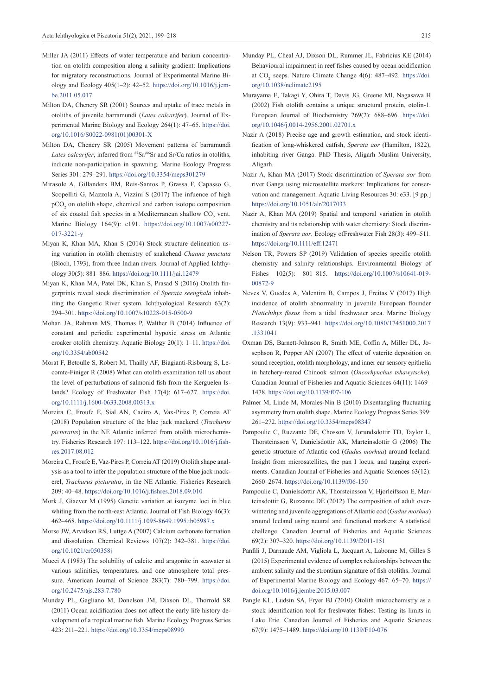- Miller JA (2011) Effects of water temperature and barium concentration on otolith composition along a salinity gradient: Implications for migratory reconstructions. Journal of Experimental Marine Biology and Ecology 405(1–2): 42–52. [https://doi.org/10.1016/j.jem](https://doi.org/10.1016/j.jembe.2011.05.017)[be.2011.05.017](https://doi.org/10.1016/j.jembe.2011.05.017)
- Milton DA, Chenery SR (2001) Sources and uptake of trace metals in otoliths of juvenile barramundi (*Lates calcarifer*). Journal of Experimental Marine Biology and Ecology 264(1): 47–65. [https://doi.](https://doi.org/10.1016/S0022-0981(01)00301-X) [org/10.1016/S0022-0981\(01\)00301-X](https://doi.org/10.1016/S0022-0981(01)00301-X)
- Milton DA, Chenery SR (2005) Movement patterns of barramundi Lates calcarifer, inferred from <sup>87</sup>Sr/<sup>86</sup>Sr and Sr/Ca ratios in otoliths, indicate non-participation in spawning. Marine Ecology Progress Series 301: 279–291.<https://doi.org/10.3354/meps301279>
- Mirasole A, Gillanders BM, Reis-Santos P, Grassa F, Capasso G, Scopelliti G, Mazzola A, Vizzini S (2017) The infuence of high pCO<sub>2</sub> on otolith shape, chemical and carbon isotope composition of six coastal fish species in a Mediterranean shallow  $CO_2$  vent. Marine Biology 164(9): e191. [https://doi.org/10.1007/s00227-](https://doi.org/10.1007/s00227-017-3221-y) [017-3221-y](https://doi.org/10.1007/s00227-017-3221-y)
- Miyan K, Khan MA, Khan S (2014) Stock structure delineation using variation in otolith chemistry of snakehead *Channa punctata* (Bloch, 1793), from three Indian rivers. Journal of Applied Ichthyology 30(5): 881–886.<https://doi.org/10.1111/jai.12479>
- Miyan K, Khan MA, Patel DK, Khan S, Prasad S (2016) Otolith fingerprints reveal stock discrimination of *Sperata seenghala* inhabiting the Gangetic River system. Ichthyological Research 63(2): 294–301. <https://doi.org/10.1007/s10228-015-0500-9>
- Mohan JA, Rahman MS, Thomas P, Walther B (2014) Influence of constant and periodic experimental hypoxic stress on Atlantic croaker otolith chemistry. Aquatic Biology 20(1): 1–11. [https://doi.](https://doi.org/10.3354/ab00542) [org/10.3354/ab00542](https://doi.org/10.3354/ab00542)
- Morat F, Betoulle S, Robert M, Thailly AF, Biagianti-Risbourg S, Lecomte-Finiger R (2008) What can otolith examination tell us about the level of perturbations of salmonid fish from the Kerguelen Islands? Ecology of Freshwater Fish 17(4): 617–627. [https://doi.](https://doi.org/10.1111/j.1600-0633.2008.00313.x) [org/10.1111/j.1600-0633.2008.00313.x](https://doi.org/10.1111/j.1600-0633.2008.00313.x)
- Moreira C, Froufe E, Sial AN, Caeiro A, Vax-Pires P, Correia AT (2018) Population structure of the blue jack mackerel (*Trachurus picturatus*) in the NE Atlantic inferred from otolith microchemistry. Fisheries Research 197: 113–122. [https://doi.org/10.1016/j.fish](https://doi.org/10.1016/j.fishres.2017.08.012)[res.2017.08.012](https://doi.org/10.1016/j.fishres.2017.08.012)
- Moreira C, Froufe E, Vaz-Pires P, Correia AT (2019) Otolith shape analysis as a tool to infer the population structure of the blue jack mackerel, *Trachurus picturatus*, in the NE Atlantic. Fisheries Research 209: 40–48. <https://doi.org/10.1016/j.fishres.2018.09.010>
- Mork J, Giaever M (1995) Genetic variation at isozyme loci in blue whiting from the north-east Atlantic. Journal of Fish Biology 46(3): 462–468. <https://doi.org/10.1111/j.1095-8649.1995.tb05987.x>
- Morse JW, Arvidson RS, Luttge A (2007) Calcium carbonate formation and dissolution. Chemical Reviews 107(2): 342–381. [https://doi.](https://doi.org/10.1021/cr050358j) [org/10.1021/cr050358j](https://doi.org/10.1021/cr050358j)
- Mucci A (1983) The solubility of calcite and aragonite in seawater at various salinities, temperatures, and one atmosphere total pressure. American Journal of Science 283(7): 780–799. [https://doi.](https://doi.org/10.2475/ajs.283.7.780) [org/10.2475/ajs.283.7.780](https://doi.org/10.2475/ajs.283.7.780)
- Munday PL, Gagliano M, Donelson JM, Dixson DL, Thorrold SR (2011) Ocean acidification does not affect the early life history development of a tropical marine fish. Marine Ecology Progress Series 423: 211–221.<https://doi.org/10.3354/meps08990>
- Munday PL, Cheal AJ, Dixson DL, Rummer JL, Fabricius KE (2014) Behavioural impairment in reef fishes caused by ocean acidification at CO<sub>2</sub> seeps. Nature Climate Change 4(6): 487–492. [https://doi.](https://doi.org/10.1038/nclimate2195) [org/10.1038/nclimate2195](https://doi.org/10.1038/nclimate2195)
- Murayama E, Takagi Y, Ohira T, Davis JG, Greene MI, Nagasawa H (2002) Fish otolith contains a unique structural protein, otolin-1. European Journal of Biochemistry 269(2): 688–696. [https://doi.](https://doi.org/10.1046/j.0014-2956.2001.02701.x) [org/10.1046/j.0014-2956.2001.02701.x](https://doi.org/10.1046/j.0014-2956.2001.02701.x)
- Nazir A (2018) Precise age and growth estimation, and stock identification of long-whiskered catfish, *Sperata aor* (Hamilton, 1822), inhabiting river Ganga. PhD Thesis, Aligarh Muslim University, Aligarh.
- Nazir A, Khan MA (2017) Stock discrimination of *Sperata aor* from river Ganga using microsatellite markers: Implications for conservation and management. Aquatic Living Resources 30: e33. [9 pp.] <https://doi.org/10.1051/alr/2017033>
- Nazir A, Khan MA (2019) Spatial and temporal variation in otolith chemistry and its relationship with water chemistry: Stock discrimination of *Sperata aor*. Ecology ofFreshwater Fish 28(3): 499–511. <https://doi.org/10.1111/eff.12471>
- Nelson TR, Powers SP (2019) Validation of species specific otolith chemistry and salinity relationships. Environmental Biology of Fishes 102(5): 801–815. [https://doi.org/10.1007/s10641-019-](https://doi.org/10.1007/s10641-019-00872-9) [00872-9](https://doi.org/10.1007/s10641-019-00872-9)
- Neves V, Guedes A, Valentim B, Campos J, Freitas V (2017) High incidence of otolith abnormality in juvenile European flounder *Platichthys flesus* from a tidal freshwater area. Marine Biology Research 13(9): 933–941. [https://doi.org/10.1080/17451000.2017](https://doi.org/10.1080/17451000.2017.1331041) [.1331041](https://doi.org/10.1080/17451000.2017.1331041)
- Oxman DS, Barnett-Johnson R, Smith ME, Coffin A, Miller DL, Josephson R, Popper AN (2007) The effect of vaterite deposition on sound reception, otolith morphology, and inner ear sensory epithelia in hatchery-reared Chinook salmon (*Oncorhynchus tshawytscha*). Canadian Journal of Fisheries and Aquatic Sciences 64(11): 1469– 1478. <https://doi.org/10.1139/f07-106>
- Palmer M, Linde M, Morales-Nin B (2010) Disentangling fluctuating asymmetry from otolith shape. Marine Ecology Progress Series 399: 261–272. <https://doi.org/10.3354/meps08347>
- Pampoulie C, Ruzzante DE, Chosson V, Jorundsdottir TD, Taylor L, Thorsteinsson V, Danielsdottir AK, Marteinsdottir G (2006) The genetic structure of Atlantic cod (*Gadus morhua*) around Iceland: Insight from microsatellites, the pan I locus, and tagging experiments. Canadian Journal of Fisheries and Aquatic Sciences 63(12): 2660–2674. <https://doi.org/10.1139/f06-150>
- Pampoulie C, Danielsdottir AK, Thorsteinsson V, Hjorleifsson E, Marteinsdottir G, Ruzzante DE (2012) The composition of adult overwintering and juvenile aggregations of Atlantic cod (*Gadus morhua*) around Iceland using neutral and functional markers: A statistical challenge. Canadian Journal of Fisheries and Aquatic Sciences 69(2): 307–320. <https://doi.org/10.1139/f2011-151>
- Panfili J, Darnaude AM, Vigliola L, Jacquart A, Labonne M, Gilles S (2015) Experimental evidence of complex relationships between the ambient salinity and the strontium signature of fish otoliths. Journal of Experimental Marine Biology and Ecology 467: 65–70. [https://](https://doi.org/10.1016/j.jembe.2015.03.007) [doi.org/10.1016/j.jembe.2015.03.007](https://doi.org/10.1016/j.jembe.2015.03.007)
- Pangle KL, Ludsin SA, Fryer BJ (2010) Otolith microchemistry as a stock identification tool for freshwater fishes: Testing its limits in Lake Erie. Canadian Journal of Fisheries and Aquatic Sciences 67(9): 1475–1489. <https://doi.org/10.1139/F10-076>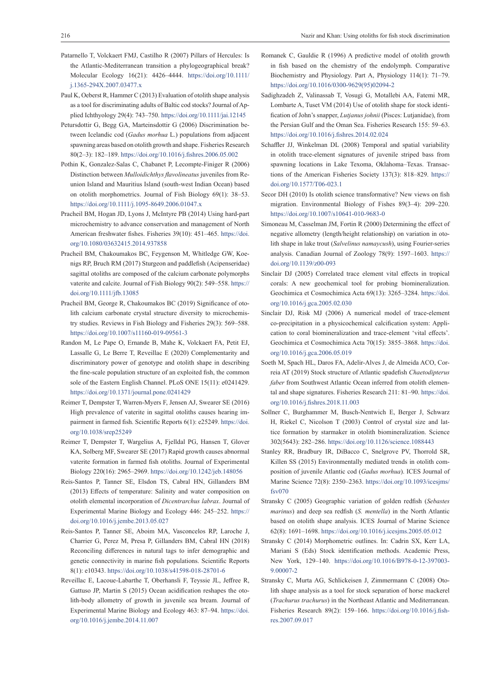- Patarnello T, Volckaert FMJ, Castilho R (2007) Pillars of Hercules: Is the Atlantic-Mediterranean transition a phylogeographical break? Molecular Ecology 16(21): 4426–4444. [https://doi.org/10.1111/](https://doi.org/10.1111/j.1365-294X.2007.03477.x) [j.1365-294X.2007.03477.x](https://doi.org/10.1111/j.1365-294X.2007.03477.x)
- Paul K, Oeberst R, Hammer C (2013) Evaluation of otolith shape analysis as a tool for discriminating adults of Baltic cod stocks? Journal of Applied Ichthyology 29(4): 743–750.<https://doi.org/10.1111/jai.12145>
- Petursdottir G, Begg GA, Marteinsdottir G (2006) Discrimination between Icelandic cod (*Gadus morhua* L.) populations from adjacent spawning areas based on otolith growth and shape. Fisheries Research 80(2–3): 182–189. <https://doi.org/10.1016/j.fishres.2006.05.002>
- Pothin K, Gonzalez-Salas C, Chabanet P, Lecompte-Finiger R (2006) Distinction between *Mulloidichthys flavolineatus* juveniles from Reunion Island and Mauritius Island (south-west Indian Ocean) based on otolith morphometrics. Journal of Fish Biology 69(1): 38–53. <https://doi.org/10.1111/j.1095-8649.2006.01047.x>
- Pracheil BM, Hogan JD, Lyons J, McIntyre PB (2014) Using hard‐part microchemistry to advance conservation and management of North American freshwater fishes. Fisheries 39(10): 451–465. [https://doi.](https://doi.org/10.1080/03632415.2014.937858) [org/10.1080/03632415.2014.937858](https://doi.org/10.1080/03632415.2014.937858)
- Pracheil BM, Chakoumakos BC, Feygenson M, Whitledge GW, Koenigs RP, Bruch RM (2017) Sturgeon and paddlefish (Acipenseridae) sagittal otoliths are composed of the calcium carbonate polymorphs vaterite and calcite. Journal of Fish Biology 90(2): 549–558. [https://](https://doi.org/10.1111/jfb.13085) [doi.org/10.1111/jfb.13085](https://doi.org/10.1111/jfb.13085)
- Pracheil BM, George R, Chakoumakos BC (2019) Significance of otolith calcium carbonate crystal structure diversity to microchemistry studies. Reviews in Fish Biology and Fisheries 29(3): 569–588. <https://doi.org/10.1007/s11160-019-09561-3>
- Randon M, Le Pape O, Ernande B, Mahe K, Volckaert FA, Petit EJ, Lassalle G, Le Berre T, Reveillac E (2020) Complementarity and discriminatory power of genotype and otolith shape in describing the fine-scale population structure of an exploited fish, the common sole of the Eastern English Channel. PLoS ONE 15(11): e0241429. <https://doi.org/10.1371/journal.pone.0241429>
- Reimer T, Dempster T, Warren-Myers F, Jensen AJ, Swearer SE (2016) High prevalence of vaterite in sagittal otoliths causes hearing impairment in farmed fish. Scientific Reports 6(1): e25249. [https://doi.](https://doi.org/10.1038/srep25249) [org/10.1038/srep25249](https://doi.org/10.1038/srep25249)
- Reimer T, Dempster T, Wargelius A, Fjelldal PG, Hansen T, Glover KA, Solberg MF, Swearer SE (2017) Rapid growth causes abnormal vaterite formation in farmed fish otoliths. Journal of Experimental Biology 220(16): 2965–2969.<https://doi.org/10.1242/jeb.148056>
- Reis-Santos P, Tanner SE, Elsdon TS, Cabral HN, Gillanders BM (2013) Effects of temperature: Salinity and water composition on otolith elemental incorporation of *Dicentrarchus labrax*. Journal of Experimental Marine Biology and Ecology 446: 245–252. [https://](https://doi.org/10.1016/j.jembe.2013.05.027) [doi.org/10.1016/j.jembe.2013.05.027](https://doi.org/10.1016/j.jembe.2013.05.027)
- Reis-Santos P, Tanner SE, Aboim MA, Vasconcelos RP, Laroche J, Charrier G, Perez M, Presa P, Gillanders BM, Cabral HN (2018) Reconciling differences in natural tags to infer demographic and genetic connectivity in marine fish populations. Scientific Reports 8(1): e10343. <https://doi.org/10.1038/s41598-018-28701-6>
- Reveillac E, Lacoue-Labarthe T, Oberhansli F, Teyssie JL, Jeffree R, Gattuso JP, Martin S (2015) Ocean acidification reshapes the otolith-body allometry of growth in juvenile sea bream. Journal of Experimental Marine Biology and Ecology 463: 87–94. [https://doi.](https://doi.org/10.1016/j.jembe.2014.11.007) [org/10.1016/j.jembe.2014.11.007](https://doi.org/10.1016/j.jembe.2014.11.007)
- Romanek C, Gauldie R (1996) A predictive model of otolith growth in fish based on the chemistry of the endolymph. Comparative Biochemistry and Physiology. Part A, Physiology 114(1): 71–79. [https://doi.org/10.1016/0300-9629\(95\)02094-2](https://doi.org/10.1016/0300-9629(95)02094-2)
- Sadighzadeh Z, Valinassab T, Vosugi G, Motallebi AA, Fatemi MR, Lombarte A, Tuset VM (2014) Use of otolith shape for stock identification of John's snapper, *Lutjanus johnii* (Pisces: Lutjanidae), from the Persian Gulf and the Oman Sea. Fisheries Research 155: 59–63. <https://doi.org/10.1016/j.fishres.2014.02.024>
- Schaffler JJ, Winkelman DL (2008) Temporal and spatial variability in otolith trace-element signatures of juvenile striped bass from spawning locations in Lake Texoma, Oklahoma–Texas. Transactions of the American Fisheries Society 137(3): 818–829. [https://](https://doi.org/10.1577/T06-023.1) [doi.org/10.1577/T06-023.1](https://doi.org/10.1577/T06-023.1)
- Secor DH (2010) Is otolith science transformative? New views on fish migration. Environmental Biology of Fishes 89(3–4): 209–220. <https://doi.org/10.1007/s10641-010-9683-0>
- Simoneau M, Casselman JM, Fortin R (2000) Determining the effect of negative allometry (length/height relationship) on variation in otolith shape in lake trout (*Salvelinus namaycush*), using Fourier-series analysis. Canadian Journal of Zoology 78(9): 1597–1603. [https://](https://doi.org/10.1139/z00-093) [doi.org/10.1139/z00-093](https://doi.org/10.1139/z00-093)
- Sinclair DJ (2005) Correlated trace element vital effects in tropical corals: A new geochemical tool for probing biomineralization. Geochimica et Cosmochimica Acta 69(13): 3265–3284. [https://doi.](https://doi.org/10.1016/j.gca.2005.02.030) [org/10.1016/j.gca.2005.02.030](https://doi.org/10.1016/j.gca.2005.02.030)
- Sinclair DJ, Risk MJ (2006) A numerical model of trace-element co-precipitation in a physicochemical calcification system: Application to coral biomineralization and trace-element 'vital effects'. Geochimica et Cosmochimica Acta 70(15): 3855–3868. [https://doi.](https://doi.org/10.1016/j.gca.2006.05.019) [org/10.1016/j.gca.2006.05.019](https://doi.org/10.1016/j.gca.2006.05.019)
- Soeth M, Spach HL, Daros FA, Adelir-Alves J, de Almeida ACO, Correia AT (2019) Stock structure of Atlantic spadefish *Chaetodipterus faber* from Southwest Atlantic Ocean inferred from otolith elemental and shape signatures. Fisheries Research 211: 81–90. [https://doi.](https://doi.org/10.1016/j.fishres.2018.11.003) [org/10.1016/j.fishres.2018.11.003](https://doi.org/10.1016/j.fishres.2018.11.003)
- Sollner C, Burghammer M, Busch-Nentwich E, Berger J, Schwarz H, Riekel C, Nicolson T (2003) Control of crystal size and lattice formation by starmaker in otolith biomineralization. Science 302(5643): 282–286. <https://doi.org/10.1126/science.1088443>
- Stanley RR, Bradbury IR, DiBacco C, Snelgrove PV, Thorrold SR, Killen SS (2015) Environmentally mediated trends in otolith composition of juvenile Atlantic cod (*Gadus morhua*). ICES Journal of Marine Science 72(8): 2350–2363. [https://doi.org/10.1093/icesjms/](https://doi.org/10.1093/icesjms/fsv070) [fsv070](https://doi.org/10.1093/icesjms/fsv070)
- Stransky C (2005) Geographic variation of golden redfish (*Sebastes marinus*) and deep sea redfish (*S. mentella*) in the North Atlantic based on otolith shape analysis. ICES Journal of Marine Science 62(8): 1691–1698. <https://doi.org/10.1016/j.icesjms.2005.05.012>
- Stransky C (2014) Morphometric outlines. In: Cadrin SX, Kerr LA, Mariani S (Eds) Stock identification methods. Academic Press, New York, 129-140. [https://doi.org/10.1016/B978-0-12-397003-](https://doi.org/10.1016/B978-0-12-397003-9.00007-2) [9.00007-2](https://doi.org/10.1016/B978-0-12-397003-9.00007-2)
- Stransky C, Murta AG, Schlickeisen J, Zimmermann C (2008) Otolith shape analysis as a tool for stock separation of horse mackerel (*Trachurus trachurus*) in the Northeast Atlantic and Mediterranean. Fisheries Research 89(2): 159–166. [https://doi.org/10.1016/j.fish](https://doi.org/10.1016/j.fishres.2007.09.017)[res.2007.09.017](https://doi.org/10.1016/j.fishres.2007.09.017)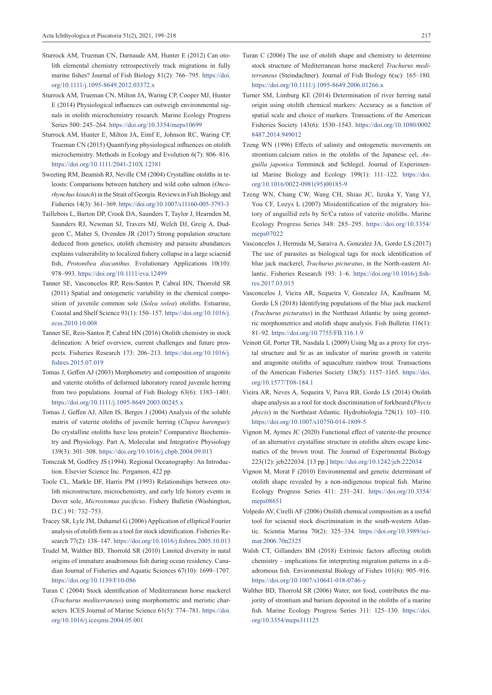- Sturrock AM, Trueman CN, Darnaude AM, Hunter E (2012) Can otolith elemental chemistry retrospectively track migrations in fully marine fishes? Journal of Fish Biology 81(2): 766–795. [https://doi.](https://doi.org/10.1111/j.1095-8649.2012.03372.x) [org/10.1111/j.1095-8649.2012.03372.x](https://doi.org/10.1111/j.1095-8649.2012.03372.x)
- Sturrock AM, Trueman CN, Milton JA, Waring CP, Cooper MJ, Hunter E (2014) Physiological influences can outweigh environmental signals in otolith microchemistry research. Marine Ecology Progress Series 500: 245–264.<https://doi.org/10.3354/meps10699>
- Sturrock AM, Hunter E, Milton JA, Eimf E, Johnson RC, Waring CP, Trueman CN (2015) Quantifying physiological influences on otolith microchemistry. Methods in Ecology and Evolution 6(7): 806–816. <https://doi.org/10.1111/2041-210X.12381>
- Sweeting RM, Beamish RJ, Neville CM (2004) Crystalline otoliths in teleosts: Comparisons between hatchery and wild coho salmon (*Oncorhynchus kisutch*) in the Strait of Georgia. Reviews in Fish Biology and Fisheries 14(3): 361–369. <https://doi.org/10.1007/s11160-005-3793-3>
- Taillebois L, Barton DP, Crook DA, Saunders T, Taylor J, Hearnden M, Saunders RJ, Newman SJ, Travers MJ, Welch DJ, Greig A, Dudgeon C, Maher S, Ovenden JR (2017) Strong population structure deduced from genetics, otolith chemistry and parasite abundances explains vulnerability to localized fishery collapse in a large sciaenid fish, *Protonibea diacanthus*. Evolutionary Applications 10(10): 978–993.<https://doi.org/10.1111/eva.12499>
- Tanner SE, Vasconcelos RP, Reis-Santos P, Cabral HN, Thorrold SR (2011) Spatial and ontogenetic variability in the chemical composition of juvenile common sole (*Solea solea*) otoliths. Estuarine, Coastal and Shelf Science 91(1): 150–157. [https://doi.org/10.1016/j.](https://doi.org/10.1016/j.ecss.2010.10.008) [ecss.2010.10.008](https://doi.org/10.1016/j.ecss.2010.10.008)
- Tanner SE, Reis-Santos P, Cabral HN (2016) Otolith chemistry in stock delineation: A brief overview, current challenges and future prospects. Fisheries Research 173: 206–213. [https://doi.org/10.1016/j.](https://doi.org/10.1016/j.fishres.2015.07.019) [fishres.2015.07.019](https://doi.org/10.1016/j.fishres.2015.07.019)
- Tomas J, Geffen AJ (2003) Morphometry and composition of aragonite and vaterite otoliths of deformed laboratory reared juvenile herring from two populations. Journal of Fish Biology 63(6): 1383–1401. <https://doi.org/10.1111/j.1095-8649.2003.00245.x>
- Tomas J, Geffen AJ, Allen IS, Berges J (2004) Analysis of the soluble matrix of vaterite otoliths of juvenile herring (*Clupea harengus*): Do crystalline otoliths have less protein? Comparative Biochemistry and Physiology. Part A, Molecular and Integrative Physiology 139(3): 301–308. <https://doi.org/10.1016/j.cbpb.2004.09.013>
- Tomczak M, Godfrey JS (1994). Regional Oceanography: An Introduction. Elsevier Science Inc. Pergamon, 422 pp.
- Toole CL, Markle DF, Harris PM (1993) Relationships between otolith microstructure, microchemistry, and early life history events in Dover sole, *Microstomus pacificus*. Fishery Bulletin (Washington, D.C.) 91: 732–753.
- Tracey SR, Lyle JM, Duhamel G (2006) Application of elliptical Fourier analysis of otolith form as a tool for stock identification. Fisheries Research 77(2): 138–147. <https://doi.org/10.1016/j.fishres.2005.10.013>
- Trudel M, Walther BD, Thorrold SR (2010) Limited diversity in natal origins of immature anadromous fish during ocean residency. Canadian Journal of Fisheries and Aquatic Sciences 67(10): 1699–1707. <https://doi.org/10.1139/F10-086>
- Turan C (2004) Stock identification of Mediterranean horse mackerel (*Trachurus mediterraneus*) using morphometric and meristic characters. ICES Journal of Marine Science 61(5): 774–781. [https://doi.](https://doi.org/10.1016/j.icesjms.2004.05.001) [org/10.1016/j.icesjms.2004.05.001](https://doi.org/10.1016/j.icesjms.2004.05.001)
- 
- Turan C (2006) The use of otolith shape and chemistry to determine stock structure of Mediterranean horse mackerel *Trachurus mediterraneus* (Steindachner). Journal of Fish Biology 6(sc): 165–180. <https://doi.org/10.1111/j.1095-8649.2006.01266.x>
- Turner SM, Limburg KE (2014) Determination of river herring natal origin using otolith chemical markers: Accuracy as a function of spatial scale and choice of markers. Transactions of the American Fisheries Society 143(6): 1530–1543. [https://doi.org/10.1080/0002](https://doi.org/10.1080/00028487.2014.949012) [8487.2014.949012](https://doi.org/10.1080/00028487.2014.949012)
- Tzeng WN (1996) Effects of salinity and ontogenetic movements on strontium:calcium ratios in the otoliths of the Japanese eel, *Anguilla japonica* Temminck and Schlegel. Journal of Experimental Marine Biology and Ecology 199(1): 111–122. [https://doi.](https://doi.org/10.1016/0022-0981(95)00185-9) [org/10.1016/0022-0981\(95\)00185-9](https://doi.org/10.1016/0022-0981(95)00185-9)
- Tzeng WN, Chang CW, Wang CH, Shiao JC, Iizuka Y, Yang YJ, You CF, Lozys L (2007) Misidentification of the migratory history of anguillid eels by Sr/Ca ratios of vaterite otoliths. Marine Ecology Progress Series 348: 285–295. [https://doi.org/10.3354/](https://doi.org/10.3354/meps07022) [meps07022](https://doi.org/10.3354/meps07022)
- Vasconcelos J, Hermida M, Saraiva A, Gonzalez JA, Gordo LS (2017) The use of parasites as biological tags for stock identification of blue jack mackerel, *Trachurus picturatus*, in the North-eastern Atlantic. Fisheries Research 193: 1–6. [https://doi.org/10.1016/j.fish](https://doi.org/10.1016/j.fishres.2017.03.015)[res.2017.03.015](https://doi.org/10.1016/j.fishres.2017.03.015)
- Vasconcelos J, Vieira AR, Sequeira V, Gonzalez JA, Kaufmann M, Gordo LS (2018) Identifying populations of the blue jack mackerel (*Trachurus picturatus*) in the Northeast Atlantic by using geometric morphometrics and otolith shape analysis. Fish Bulletin 116(1): 81–92. <https://doi.org/10.7755/FB.116.1.9>
- Veinott GI, Porter TR, Nasdala L (2009) Using Mg as a proxy for crystal structure and Sr as an indicator of marine growth in vaterite and aragonite otoliths of aquaculture rainbow trout. Transactions of the American Fisheries Society 138(5): 1157–1165. [https://doi.](https://doi.org/10.1577/T08-184.1) [org/10.1577/T08-184.1](https://doi.org/10.1577/T08-184.1)
- Vieira AR, Neves A, Sequeira V, Paiva RB, Gordo LS (2014) Otolith shape analysis as a tool for stock discrimination of forkbeard (*Phycis phycis*) in the Northeast Atlantic. Hydrobiologia 728(1): 103–110. <https://doi.org/10.1007/s10750-014-1809-5>
- Vignon M, Aymes JC (2020) Functional effect of vaterite-the presence of an alternative crystalline structure in otoliths alters escape kinematics of the brown trout. The Journal of Experimental Biology 223(12): jeb222034. [13 pp.]<https://doi.org/10.1242/jeb.222034>
- Vignon M, Morat F (2010) Environmental and genetic determinant of otolith shape revealed by a non-indigenous tropical fish. Marine Ecology Progress Series 411: 231–241. [https://doi.org/10.3354/](https://doi.org/10.3354/meps08651) [meps08651](https://doi.org/10.3354/meps08651)
- Volpedo AV, Cirelli AF (2006) Otolith chemical composition as a useful tool for sciaenid stock discrimination in the south-western Atlantic. Scientia Marina 70(2): 325–334. [https://doi.org/10.3989/sci](https://doi.org/10.3989/scimar.2006.70n2325)[mar.2006.70n2325](https://doi.org/10.3989/scimar.2006.70n2325)
- Walsh CT, Gillanders BM (2018) Extrinsic factors affecting otolith chemistry – implications for interpreting migration patterns in a diadromous fish. Environmental Biology of Fishes 101(6): 905–916. <https://doi.org/10.1007/s10641-018-0746-y>
- Walther BD, Thorrold SR (2006) Water, not food, contributes the majority of strontium and barium deposited in the otoliths of a marine fish. Marine Ecology Progress Series 311: 125–130. [https://doi.](https://doi.org/10.3354/meps311125) [org/10.3354/meps311125](https://doi.org/10.3354/meps311125)